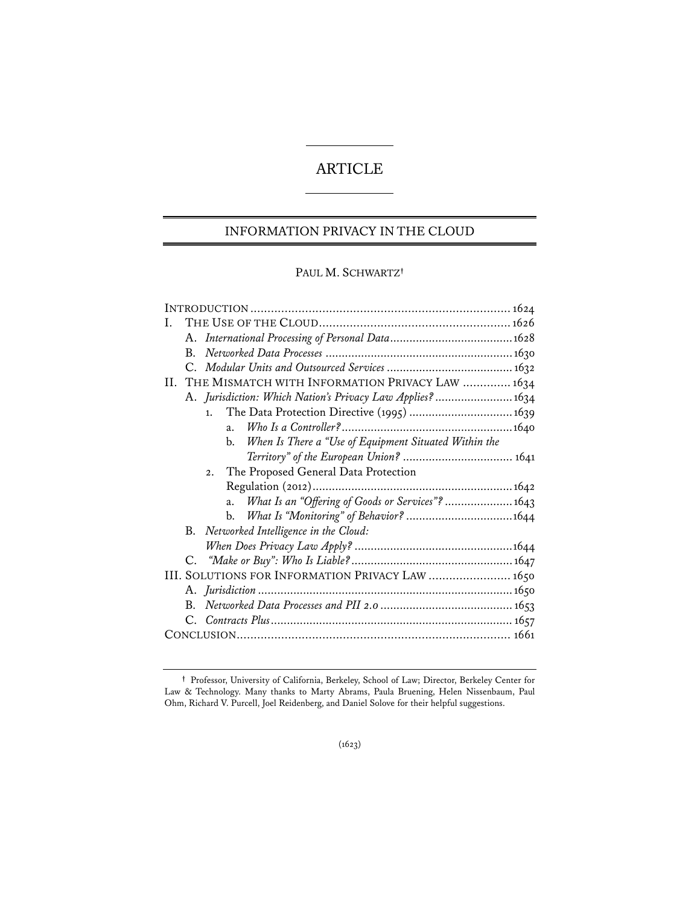# ARTICLE

# INFORMATION PRIVACY IN THE CLOUD

# PAUL M. SCHWARTZ**†**

| I.                                                          |
|-------------------------------------------------------------|
|                                                             |
| $B_{\cdot}$                                                 |
|                                                             |
| II. THE MISMATCH WITH INFORMATION PRIVACY LAW  1634         |
| A. Jurisdiction: Which Nation's Privacy Law Applies?1634    |
| The Data Protection Directive (1995)  1639<br>1.            |
| $\overline{a}$ .                                            |
| When Is There a "Use of Equipment Situated Within the<br>b. |
|                                                             |
| The Proposed General Data Protection<br>2.                  |
|                                                             |
| What Is an "Offering of Goods or Services"?  1643<br>a.     |
| b.                                                          |
| B. Networked Intelligence in the Cloud:                     |
|                                                             |
|                                                             |
| III. SOLUTIONS FOR INFORMATION PRIVACY LAW  1650            |
|                                                             |
|                                                             |
|                                                             |
|                                                             |

**<sup>†</sup>** Professor, University of California, Berkeley, School of Law; Director, Berkeley Center for Law & Technology. Many thanks to Marty Abrams, Paula Bruening, Helen Nissenbaum, Paul Ohm, Richard V. Purcell, Joel Reidenberg, and Daniel Solove for their helpful suggestions.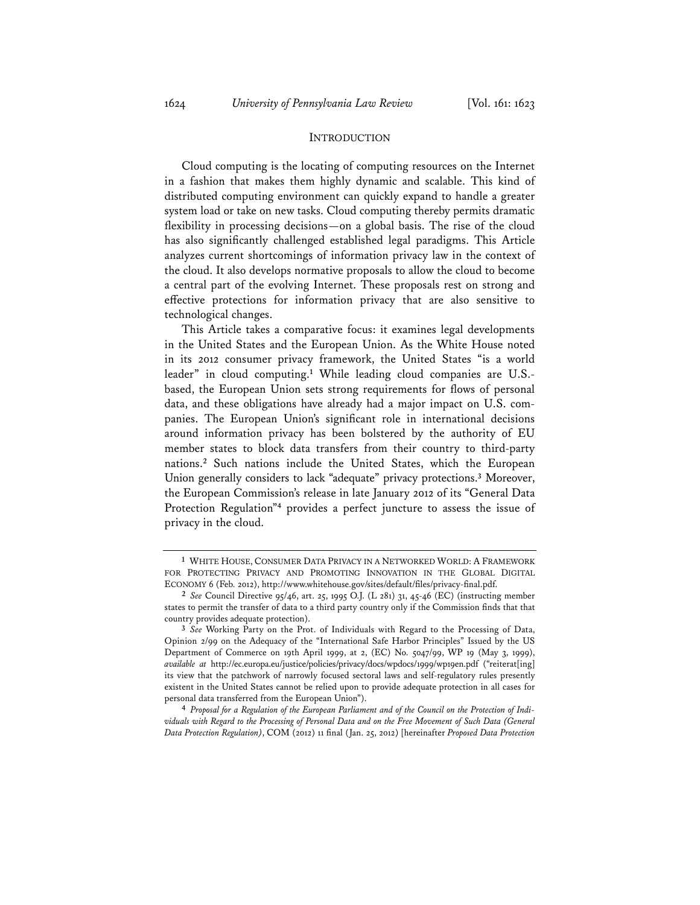### **INTRODUCTION**

Cloud computing is the locating of computing resources on the Internet in a fashion that makes them highly dynamic and scalable. This kind of distributed computing environment can quickly expand to handle a greater system load or take on new tasks. Cloud computing thereby permits dramatic flexibility in processing decisions—on a global basis. The rise of the cloud has also significantly challenged established legal paradigms. This Article analyzes current shortcomings of information privacy law in the context of the cloud. It also develops normative proposals to allow the cloud to become a central part of the evolving Internet. These proposals rest on strong and effective protections for information privacy that are also sensitive to technological changes.

This Article takes a comparative focus: it examines legal developments in the United States and the European Union. As the White House noted in its 2012 consumer privacy framework, the United States "is a world leader" in cloud computing.**<sup>1</sup>** While leading cloud companies are U.S. based, the European Union sets strong requirements for flows of personal data, and these obligations have already had a major impact on U.S. companies. The European Union's significant role in international decisions around information privacy has been bolstered by the authority of EU member states to block data transfers from their country to third-party nations.**<sup>2</sup>** Such nations include the United States, which the European Union generally considers to lack "adequate" privacy protections.**<sup>3</sup>** Moreover, the European Commission's release in late January 2012 of its "General Data Protection Regulation"**<sup>4</sup>** provides a perfect juncture to assess the issue of privacy in the cloud.

**<sup>1</sup>** WHITE HOUSE, CONSUMER DATA PRIVACY IN A NETWORKED WORLD: A FRAMEWORK FOR PROTECTING PRIVACY AND PROMOTING INNOVATION IN THE GLOBAL DIGITAL ECONOMY 6 (Feb. 2012), http://www.whitehouse.gov/sites/default/files/privacy-final.pdf.

**<sup>2</sup>** *See* Council Directive 95/46, art. 25, 1995 O.J. (L 281) 31, 45-46 (EC) (instructing member states to permit the transfer of data to a third party country only if the Commission finds that that country provides adequate protection).

**<sup>3</sup>** *See* Working Party on the Prot. of Individuals with Regard to the Processing of Data, Opinion 2/99 on the Adequacy of the "International Safe Harbor Principles" Issued by the US Department of Commerce on 19th April 1999, at 2, (EC) No. 5047/99, WP 19 (May 3, 1999), *available at* http://ec.europa.eu/justice/policies/privacy/docs/wpdocs/1999/wp19en.pdf ("reiterat[ing] its view that the patchwork of narrowly focused sectoral laws and self-regulatory rules presently existent in the United States cannot be relied upon to provide adequate protection in all cases for personal data transferred from the European Union").

**<sup>4</sup>** *Proposal for a Regulation of the European Parliament and of the Council on the Protection of Individuals with Regard to the Processing of Personal Data and on the Free Movement of Such Data (General Data Protection Regulation)*, COM (2012) 11 final (Jan. 25, 2012) [hereinafter *Proposed Data Protection*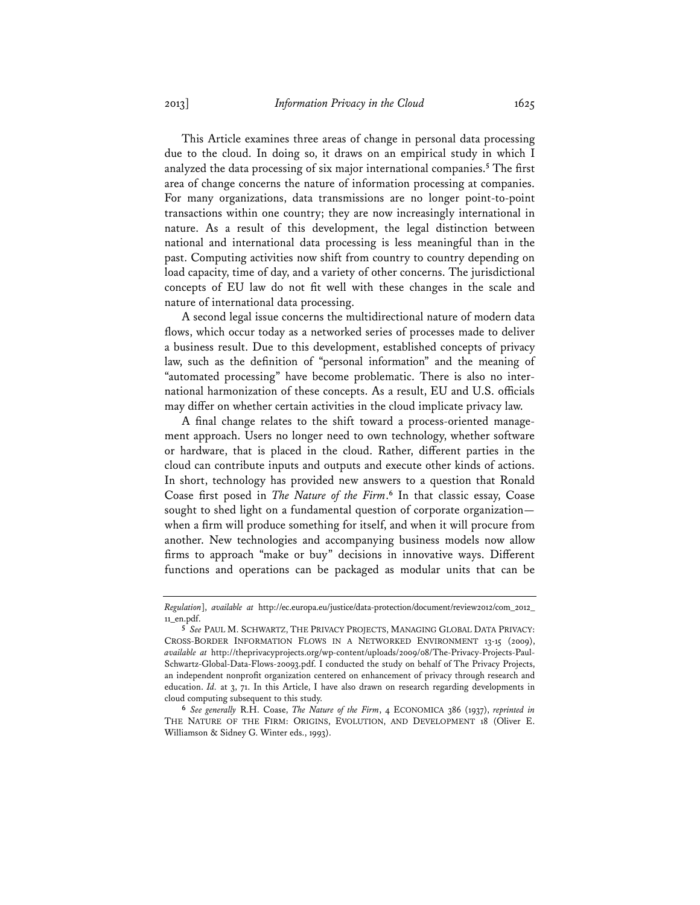This Article examines three areas of change in personal data processing due to the cloud. In doing so, it draws on an empirical study in which I analyzed the data processing of six major international companies.**<sup>5</sup>** The first area of change concerns the nature of information processing at companies. For many organizations, data transmissions are no longer point-to-point transactions within one country; they are now increasingly international in nature. As a result of this development, the legal distinction between national and international data processing is less meaningful than in the past. Computing activities now shift from country to country depending on load capacity, time of day, and a variety of other concerns. The jurisdictional concepts of EU law do not fit well with these changes in the scale and nature of international data processing.

A second legal issue concerns the multidirectional nature of modern data flows, which occur today as a networked series of processes made to deliver a business result. Due to this development, established concepts of privacy law, such as the definition of "personal information" and the meaning of "automated processing" have become problematic. There is also no international harmonization of these concepts. As a result, EU and U.S. officials may differ on whether certain activities in the cloud implicate privacy law.

A final change relates to the shift toward a process-oriented management approach. Users no longer need to own technology, whether software or hardware, that is placed in the cloud. Rather, different parties in the cloud can contribute inputs and outputs and execute other kinds of actions. In short, technology has provided new answers to a question that Ronald Coase first posed in *The Nature of the Firm*. **<sup>6</sup>** In that classic essay, Coase sought to shed light on a fundamental question of corporate organization when a firm will produce something for itself, and when it will procure from another. New technologies and accompanying business models now allow firms to approach "make or buy" decisions in innovative ways. Different functions and operations can be packaged as modular units that can be

*Regulation*], *available at* http://ec.europa.eu/justice/data-protection/document/review2012/com\_2012\_ 11\_en.pdf.

**<sup>5</sup>** *See* PAUL M. SCHWARTZ, THE PRIVACY PROJECTS, MANAGING GLOBAL DATA PRIVACY: CROSS-BORDER INFORMATION FLOWS IN A NETWORKED ENVIRONMENT 13-15 (2009), *available at* http://theprivacyprojects.org/wp-content/uploads/2009/08/The-Privacy-Projects-Paul-Schwartz-Global-Data-Flows-20093.pdf. I conducted the study on behalf of The Privacy Projects, an independent nonprofit organization centered on enhancement of privacy through research and education. *Id.* at 3, 71. In this Article, I have also drawn on research regarding developments in cloud computing subsequent to this study.

**<sup>6</sup>** *See generally* R.H. Coase, *The Nature of the Firm*, 4 ECONOMICA 386 (1937), *reprinted in* THE NATURE OF THE FIRM: ORIGINS, EVOLUTION, AND DEVELOPMENT 18 (Oliver E. Williamson & Sidney G. Winter eds., 1993).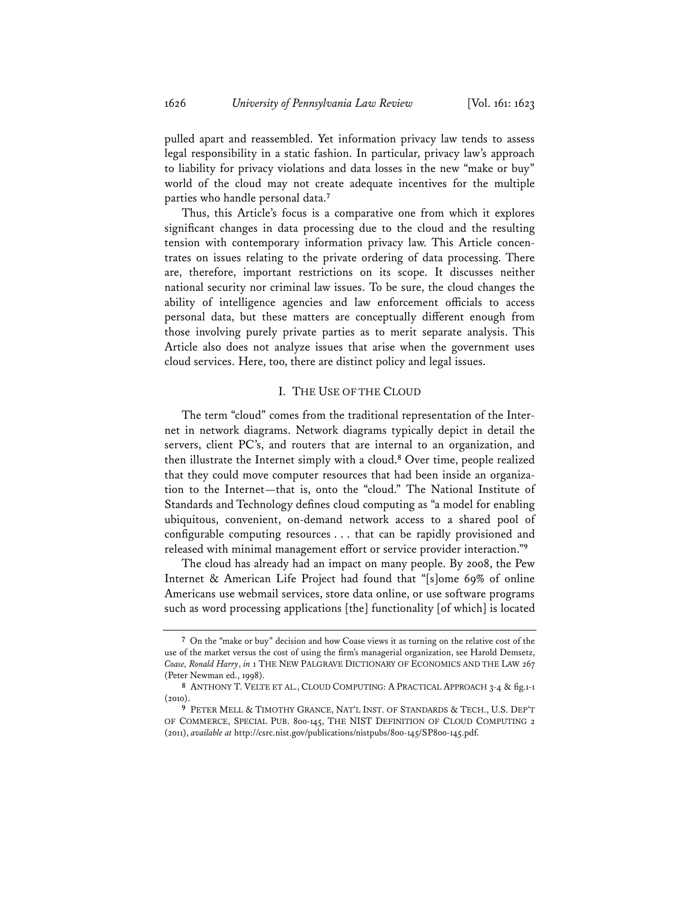pulled apart and reassembled. Yet information privacy law tends to assess legal responsibility in a static fashion. In particular, privacy law's approach to liability for privacy violations and data losses in the new "make or buy" world of the cloud may not create adequate incentives for the multiple parties who handle personal data.**<sup>7</sup>**

Thus, this Article's focus is a comparative one from which it explores significant changes in data processing due to the cloud and the resulting tension with contemporary information privacy law. This Article concentrates on issues relating to the private ordering of data processing. There are, therefore, important restrictions on its scope. It discusses neither national security nor criminal law issues. To be sure, the cloud changes the ability of intelligence agencies and law enforcement officials to access personal data, but these matters are conceptually different enough from those involving purely private parties as to merit separate analysis. This Article also does not analyze issues that arise when the government uses cloud services. Here, too, there are distinct policy and legal issues.

### I. THE USE OF THE CLOUD

The term "cloud" comes from the traditional representation of the Internet in network diagrams. Network diagrams typically depict in detail the servers, client PC's, and routers that are internal to an organization, and then illustrate the Internet simply with a cloud.**<sup>8</sup>** Over time, people realized that they could move computer resources that had been inside an organization to the Internet—that is, onto the "cloud." The National Institute of Standards and Technology defines cloud computing as "a model for enabling ubiquitous, convenient, on-demand network access to a shared pool of configurable computing resources . . . that can be rapidly provisioned and released with minimal management effort or service provider interaction."**<sup>9</sup>**

The cloud has already had an impact on many people. By 2008, the Pew Internet & American Life Project had found that "[s]ome 69% of online Americans use webmail services, store data online, or use software programs such as word processing applications [the] functionality [of which] is located

**<sup>7</sup>** On the "make or buy" decision and how Coase views it as turning on the relative cost of the use of the market versus the cost of using the firm's managerial organization, see Harold Demsetz, *Coase, Ronald Harry*, *in* 1 THE NEW PALGRAVE DICTIONARY OF ECONOMICS AND THE LAW 267 (Peter Newman ed., 1998).

**<sup>8</sup>** ANTHONY T. VELTE ET AL., CLOUD COMPUTING: A PRACTICAL APPROACH 3-4 & fig.1-1 (2010).

**<sup>9</sup>** PETER MELL & TIMOTHY GRANCE, NAT'L INST. OF STANDARDS & TECH., U.S. DEP'T OF COMMERCE, SPECIAL PUB. 800-145, THE NIST DEFINITION OF CLOUD COMPUTING 2 (2011), *available at* http://csrc.nist.gov/publications/nistpubs/800-145/SP800-145.pdf.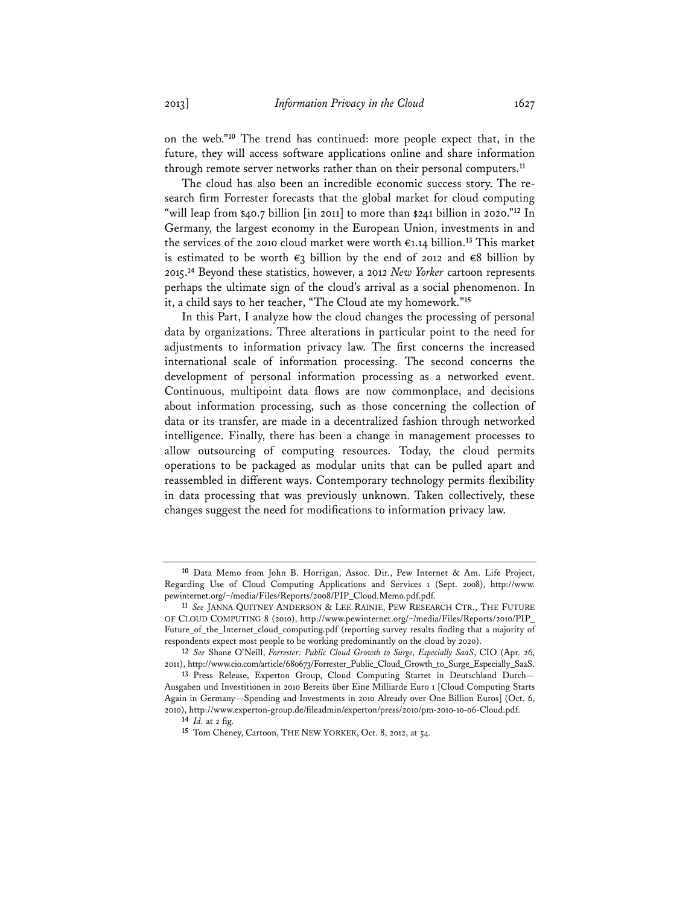on the web."**<sup>10</sup>** The trend has continued: more people expect that, in the future, they will access software applications online and share information through remote server networks rather than on their personal computers.**<sup>11</sup>**

The cloud has also been an incredible economic success story. The research firm Forrester forecasts that the global market for cloud computing "will leap from \$40.7 billion [in 2011] to more than \$241 billion in 2020."**<sup>12</sup>** In Germany, the largest economy in the European Union, investments in and the services of the 2010 cloud market were worth €1.14 billion.**<sup>13</sup>** This market is estimated to be worth  $\epsilon_3$  billion by the end of 2012 and  $\epsilon_8$  billion by 2015.**<sup>14</sup>** Beyond these statistics, however, a 2012 *New Yorker* cartoon represents perhaps the ultimate sign of the cloud's arrival as a social phenomenon. In it, a child says to her teacher, "The Cloud ate my homework."**<sup>15</sup>**

In this Part, I analyze how the cloud changes the processing of personal data by organizations. Three alterations in particular point to the need for adjustments to information privacy law. The first concerns the increased international scale of information processing. The second concerns the development of personal information processing as a networked event. Continuous, multipoint data flows are now commonplace, and decisions about information processing, such as those concerning the collection of data or its transfer, are made in a decentralized fashion through networked intelligence. Finally, there has been a change in management processes to allow outsourcing of computing resources. Today, the cloud permits operations to be packaged as modular units that can be pulled apart and reassembled in different ways. Contemporary technology permits flexibility in data processing that was previously unknown. Taken collectively, these changes suggest the need for modifications to information privacy law.

**<sup>10</sup>** Data Memo from John B. Horrigan, Assoc. Dir., Pew Internet & Am. Life Project, Regarding Use of Cloud Computing Applications and Services 1 (Sept. 2008), http://www. pewinternet.org/~/media/Files/Reports/2008/PIP\_Cloud.Memo.pdf.pdf.

**<sup>11</sup>** *See* JANNA QUITNEY ANDERSON & LEE RAINIE, PEW RESEARCH CTR., THE FUTURE OF CLOUD COMPUTING 8 (2010), http://www.pewinternet.org/~/media/Files/Reports/2010/PIP\_ Future\_of\_the\_Internet\_cloud\_computing.pdf (reporting survey results finding that a majority of respondents expect most people to be working predominantly on the cloud by 2020).

**<sup>12</sup>** *See* Shane O'Neill, *Forrester: Public Cloud Growth to Surge, Especially SaaS*, CIO (Apr. 26, 2011), http://www.cio.com/article/680673/Forrester\_Public\_Cloud\_Growth\_to\_Surge\_Especially\_SaaS.

**<sup>13</sup>** Press Release, Experton Group, Cloud Computing Startet in Deutschland Durch— Ausgaben und Investitionen in 2010 Bereits über Eine Milliarde Euro 1 [Cloud Computing Starts Again in Germany—Spending and Investments in 2010 Already over One Billion Euros] (Oct. 6, 2010), http://www.experton-group.de/fileadmin/experton/press/2010/pm-2010-10-06-Cloud.pdf.

**<sup>14</sup>** *Id.* at 2 fig.

**<sup>15</sup>** Tom Cheney, Cartoon, THE NEW YORKER, Oct. 8, 2012, at 54.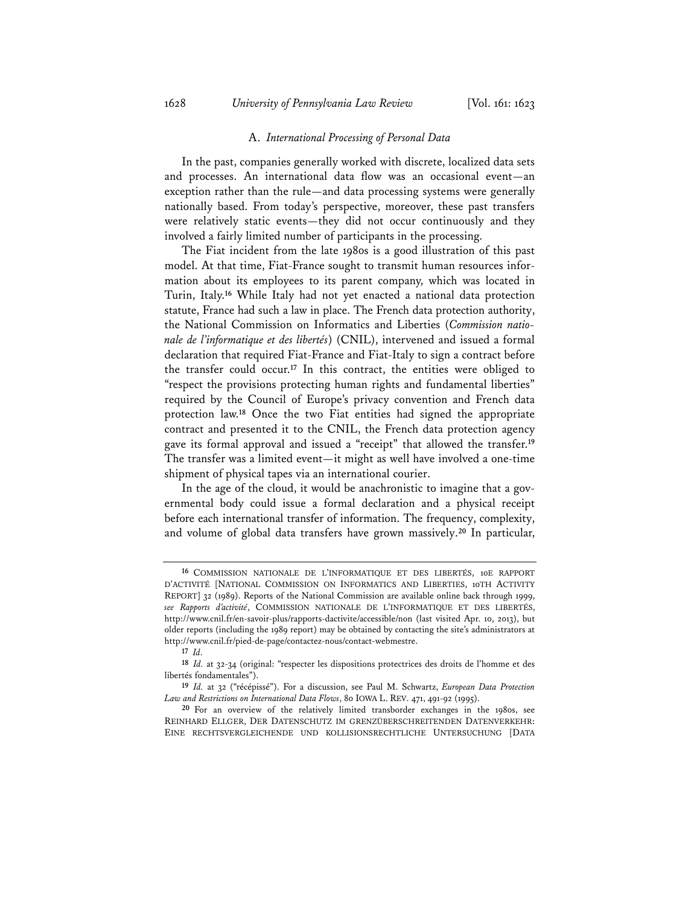#### A. *International Processing of Personal Data*

In the past, companies generally worked with discrete, localized data sets and processes. An international data flow was an occasional event—an exception rather than the rule—and data processing systems were generally nationally based. From today's perspective, moreover, these past transfers were relatively static events—they did not occur continuously and they involved a fairly limited number of participants in the processing.

The Fiat incident from the late 1980s is a good illustration of this past model. At that time, Fiat-France sought to transmit human resources information about its employees to its parent company, which was located in Turin, Italy.**<sup>16</sup>** While Italy had not yet enacted a national data protection statute, France had such a law in place. The French data protection authority, the National Commission on Informatics and Liberties (*Commission nationale de l'informatique et des libertés*) (CNIL), intervened and issued a formal declaration that required Fiat-France and Fiat-Italy to sign a contract before the transfer could occur.**<sup>17</sup>** In this contract, the entities were obliged to "respect the provisions protecting human rights and fundamental liberties" required by the Council of Europe's privacy convention and French data protection law.**<sup>18</sup>** Once the two Fiat entities had signed the appropriate contract and presented it to the CNIL, the French data protection agency gave its formal approval and issued a "receipt" that allowed the transfer.**<sup>19</sup>** The transfer was a limited event—it might as well have involved a one-time shipment of physical tapes via an international courier.

In the age of the cloud, it would be anachronistic to imagine that a governmental body could issue a formal declaration and a physical receipt before each international transfer of information. The frequency, complexity, and volume of global data transfers have grown massively.**<sup>20</sup>** In particular,

**<sup>16</sup>** COMMISSION NATIONALE DE L'INFORMATIQUE ET DES LIBERTÉS, 10E RAPPORT D'ACTIVITÉ [NATIONAL COMMISSION ON INFORMATICS AND LIBERTIES, 10TH ACTIVITY REPORT] 32 (1989). Reports of the National Commission are available online back through 1999, *see Rapports d'activité*, COMMISSION NATIONALE DE L'INFORMATIQUE ET DES LIBERTÉS, http://www.cnil.fr/en-savoir-plus/rapports-dactivite/accessible/non (last visited Apr. 10, 2013), but older reports (including the 1989 report) may be obtained by contacting the site's administrators at http://www.cnil.fr/pied-de-page/contactez-nous/contact-webmestre.

**<sup>17</sup>** *Id.*

**<sup>18</sup>** *Id.* at 32-34 (original: "respecter les dispositions protectrices des droits de l'homme et des libertés fondamentales").

**<sup>19</sup>** *Id.* at 32 ("récépissé"). For a discussion, see Paul M. Schwartz, *European Data Protection Law and Restrictions on International Data Flows*, 80 IOWA L. REV. 471, 491-92 (1995).

**<sup>20</sup>** For an overview of the relatively limited transborder exchanges in the 1980s, see REINHARD ELLGER, DER DATENSCHUTZ IM GRENZÜBERSCHREITENDEN DATENVERKEHR: EINE RECHTSVERGLEICHENDE UND KOLLISIONSRECHTLICHE UNTERSUCHUNG [DATA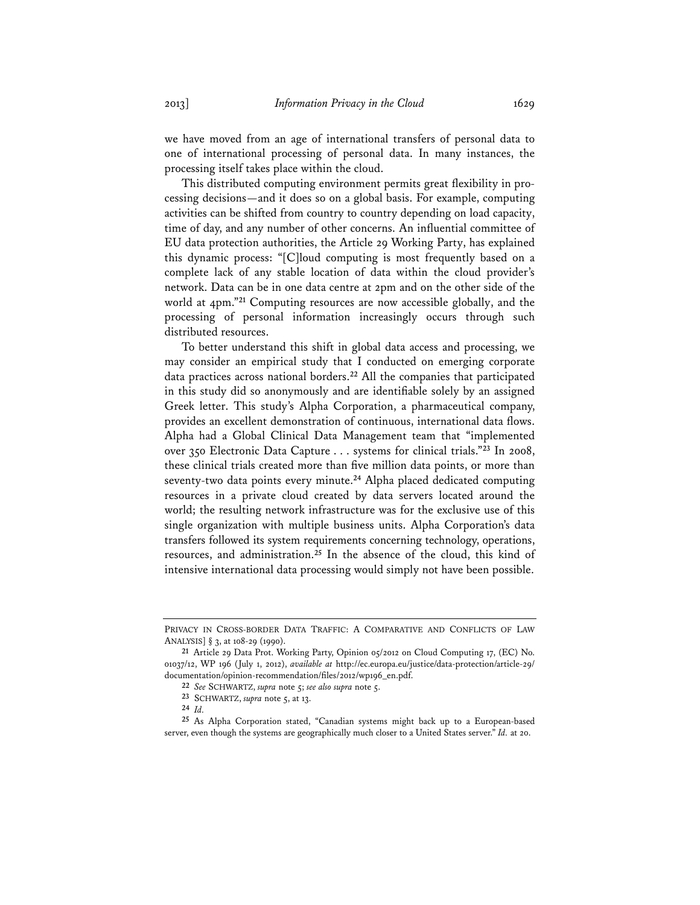we have moved from an age of international transfers of personal data to one of international processing of personal data. In many instances, the processing itself takes place within the cloud.

This distributed computing environment permits great flexibility in processing decisions—and it does so on a global basis. For example, computing activities can be shifted from country to country depending on load capacity, time of day, and any number of other concerns. An influential committee of EU data protection authorities, the Article 29 Working Party, has explained this dynamic process: "[C]loud computing is most frequently based on a complete lack of any stable location of data within the cloud provider's network. Data can be in one data centre at 2pm and on the other side of the world at 4pm."**<sup>21</sup>** Computing resources are now accessible globally, and the processing of personal information increasingly occurs through such distributed resources.

To better understand this shift in global data access and processing, we may consider an empirical study that I conducted on emerging corporate data practices across national borders.**<sup>22</sup>** All the companies that participated in this study did so anonymously and are identifiable solely by an assigned Greek letter. This study's Alpha Corporation, a pharmaceutical company, provides an excellent demonstration of continuous, international data flows. Alpha had a Global Clinical Data Management team that "implemented over 350 Electronic Data Capture . . . systems for clinical trials."**<sup>23</sup>** In 2008, these clinical trials created more than five million data points, or more than seventy-two data points every minute.**<sup>24</sup>** Alpha placed dedicated computing resources in a private cloud created by data servers located around the world; the resulting network infrastructure was for the exclusive use of this single organization with multiple business units. Alpha Corporation's data transfers followed its system requirements concerning technology, operations, resources, and administration.**<sup>25</sup>** In the absence of the cloud, this kind of intensive international data processing would simply not have been possible.

PRIVACY IN CROSS-BORDER DATA TRAFFIC: A COMPARATIVE AND CONFLICTS OF LAW ANALYSIS] § 3, at 108-29 (1990).

**<sup>21</sup>** Article 29 Data Prot. Working Party, Opinion 05/2012 on Cloud Computing 17, (EC) No. 01037/12, WP 196 (July 1, 2012), *available at* http://ec.europa.eu/justice/data-protection/article-29/ documentation/opinion-recommendation/files/2012/wp196\_en.pdf.

**<sup>22</sup>** *See* SCHWARTZ, *supra* note 5; *see also supra* note 5.

**<sup>23</sup>** SCHWARTZ, *supra* note 5, at 13.

**<sup>24</sup>** *Id.*

**<sup>25</sup>** As Alpha Corporation stated, "Canadian systems might back up to a European-based server, even though the systems are geographically much closer to a United States server." *Id.* at 20.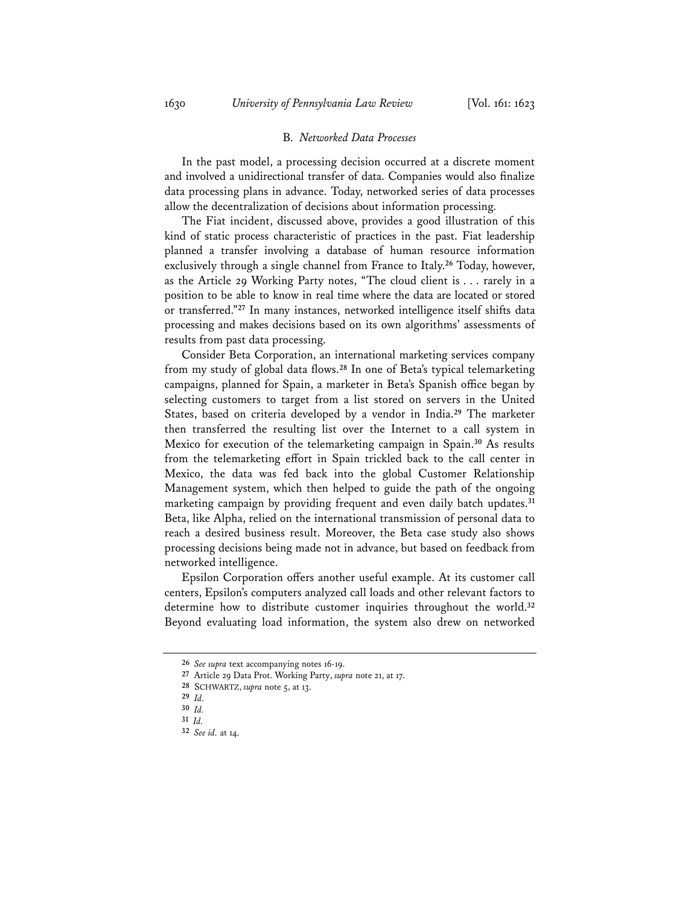#### B. *Networked Data Processes*

In the past model, a processing decision occurred at a discrete moment and involved a unidirectional transfer of data. Companies would also finalize data processing plans in advance. Today, networked series of data processes allow the decentralization of decisions about information processing.

The Fiat incident, discussed above, provides a good illustration of this kind of static process characteristic of practices in the past. Fiat leadership planned a transfer involving a database of human resource information exclusively through a single channel from France to Italy.**<sup>26</sup>** Today, however, as the Article 29 Working Party notes, "The cloud client is . . . rarely in a position to be able to know in real time where the data are located or stored or transferred."**<sup>27</sup>** In many instances, networked intelligence itself shifts data processing and makes decisions based on its own algorithms' assessments of results from past data processing.

Consider Beta Corporation, an international marketing services company from my study of global data flows.**<sup>28</sup>** In one of Beta's typical telemarketing campaigns, planned for Spain, a marketer in Beta's Spanish office began by selecting customers to target from a list stored on servers in the United States, based on criteria developed by a vendor in India.**<sup>29</sup>** The marketer then transferred the resulting list over the Internet to a call system in Mexico for execution of the telemarketing campaign in Spain.**<sup>30</sup>** As results from the telemarketing effort in Spain trickled back to the call center in Mexico, the data was fed back into the global Customer Relationship Management system, which then helped to guide the path of the ongoing marketing campaign by providing frequent and even daily batch updates.**<sup>31</sup>** Beta, like Alpha, relied on the international transmission of personal data to reach a desired business result. Moreover, the Beta case study also shows processing decisions being made not in advance, but based on feedback from networked intelligence.

Epsilon Corporation offers another useful example. At its customer call centers, Epsilon's computers analyzed call loads and other relevant factors to determine how to distribute customer inquiries throughout the world.**<sup>32</sup>** Beyond evaluating load information, the system also drew on networked

**<sup>26</sup>** *See supra* text accompanying notes 16-19.

**<sup>27</sup>** Article 29 Data Prot. Working Party, *supra* note 21, at 17.

**<sup>28</sup>** SCHWARTZ, *supra* note 5, at 13.

**<sup>29</sup>** *Id.*

**<sup>30</sup>** *Id.*

**<sup>31</sup>** *Id.*

**<sup>32</sup>** *See id.* at 14.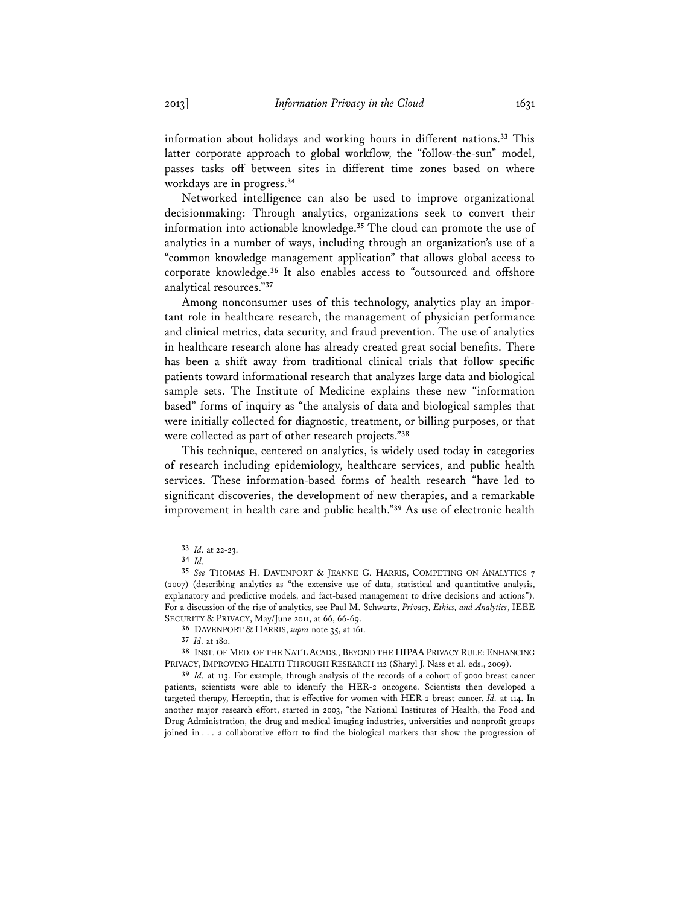information about holidays and working hours in different nations.**<sup>33</sup>** This latter corporate approach to global workflow, the "follow-the-sun" model, passes tasks off between sites in different time zones based on where workdays are in progress.**<sup>34</sup>**

Networked intelligence can also be used to improve organizational decisionmaking: Through analytics, organizations seek to convert their information into actionable knowledge.**<sup>35</sup>** The cloud can promote the use of analytics in a number of ways, including through an organization's use of a "common knowledge management application" that allows global access to corporate knowledge.**<sup>36</sup>** It also enables access to "outsourced and offshore analytical resources."**<sup>37</sup>**

Among nonconsumer uses of this technology, analytics play an important role in healthcare research, the management of physician performance and clinical metrics, data security, and fraud prevention. The use of analytics in healthcare research alone has already created great social benefits. There has been a shift away from traditional clinical trials that follow specific patients toward informational research that analyzes large data and biological sample sets. The Institute of Medicine explains these new "information based" forms of inquiry as "the analysis of data and biological samples that were initially collected for diagnostic, treatment, or billing purposes, or that were collected as part of other research projects."**<sup>38</sup>**

This technique, centered on analytics, is widely used today in categories of research including epidemiology, healthcare services, and public health services. These information-based forms of health research "have led to significant discoveries, the development of new therapies, and a remarkable improvement in health care and public health."**<sup>39</sup>** As use of electronic health

**36** DAVENPORT & HARRIS, *supra* note 35, at 161.

**39** *Id.* at 113. For example, through analysis of the records of a cohort of 9000 breast cancer patients, scientists were able to identify the HER-2 oncogene. Scientists then developed a targeted therapy, Herceptin, that is effective for women with HER-2 breast cancer. *Id.* at 114. In another major research effort, started in 2003, "the National Institutes of Health, the Food and Drug Administration, the drug and medical-imaging industries, universities and nonprofit groups joined in . . . a collaborative effort to find the biological markers that show the progression of

**<sup>33</sup>** *Id.* at 22-23.

**<sup>34</sup>** *Id.*

**<sup>35</sup>** *See* THOMAS H. DAVENPORT & JEANNE G. HARRIS, COMPETING ON ANALYTICS 7 (2007) (describing analytics as "the extensive use of data, statistical and quantitative analysis, explanatory and predictive models, and fact-based management to drive decisions and actions"). For a discussion of the rise of analytics, see Paul M. Schwartz, *Privacy, Ethics, and Analytics*, IEEE SECURITY & PRIVACY, May/June 2011, at 66, 66-69.

**<sup>37</sup>** *Id.* at 180.

**<sup>38</sup>** INST. OF MED. OF THE NAT'L ACADS., BEYOND THE HIPAA PRIVACY RULE: ENHANCING PRIVACY, IMPROVING HEALTH THROUGH RESEARCH 112 (Sharyl J. Nass et al. eds., 2009).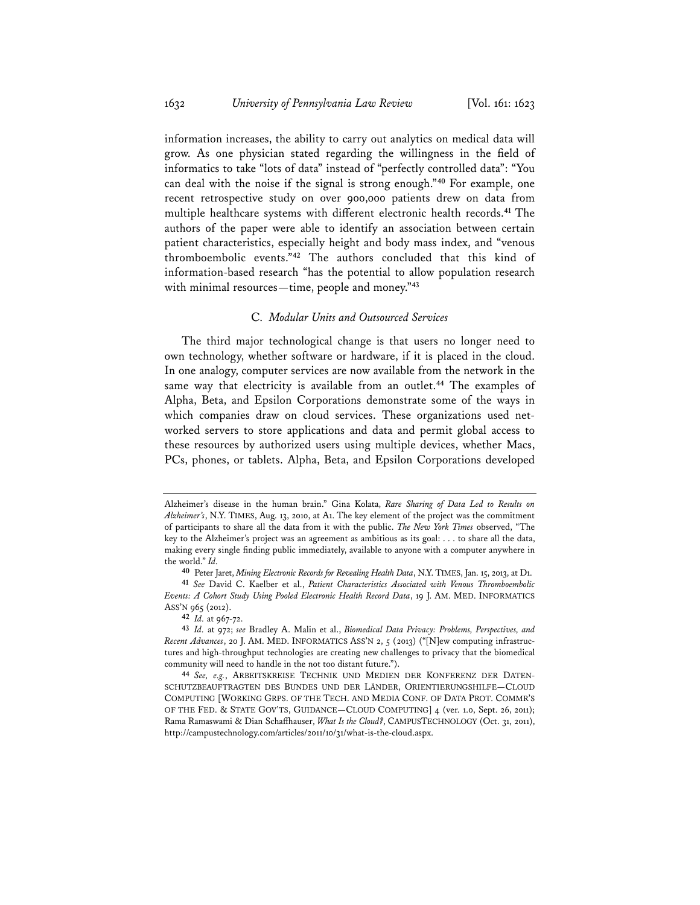information increases, the ability to carry out analytics on medical data will grow. As one physician stated regarding the willingness in the field of informatics to take "lots of data" instead of "perfectly controlled data": "You can deal with the noise if the signal is strong enough."**<sup>40</sup>** For example, one recent retrospective study on over 900,000 patients drew on data from multiple healthcare systems with different electronic health records.**<sup>41</sup>** The authors of the paper were able to identify an association between certain patient characteristics, especially height and body mass index, and "venous thromboembolic events."**<sup>42</sup>** The authors concluded that this kind of information-based research "has the potential to allow population research with minimal resources—time, people and money."**<sup>43</sup>**

### C. *Modular Units and Outsourced Services*

The third major technological change is that users no longer need to own technology, whether software or hardware, if it is placed in the cloud. In one analogy, computer services are now available from the network in the same way that electricity is available from an outlet.**<sup>44</sup>** The examples of Alpha, Beta, and Epsilon Corporations demonstrate some of the ways in which companies draw on cloud services. These organizations used networked servers to store applications and data and permit global access to these resources by authorized users using multiple devices, whether Macs, PCs, phones, or tablets. Alpha, Beta, and Epsilon Corporations developed

Alzheimer's disease in the human brain." Gina Kolata, *Rare Sharing of Data Led to Results on Alzheimer's*, N.Y. TIMES, Aug. 13, 2010, at A1. The key element of the project was the commitment of participants to share all the data from it with the public. *The New York Times* observed, "The key to the Alzheimer's project was an agreement as ambitious as its goal: . . . to share all the data, making every single finding public immediately, available to anyone with a computer anywhere in the world." *Id.*

**<sup>40</sup>** Peter Jaret, *Mining Electronic Records for Revealing Health Data*, N.Y. TIMES, Jan. 15, 2013, at D1.

**<sup>41</sup>** *See* David C. Kaelber et al., *Patient Characteristics Associated with Venous Thromboembolic Events: A Cohort Study Using Pooled Electronic Health Record Data*, 19 J. AM. MED. INFORMATICS ASS'N 965 (2012).

**<sup>42</sup>** *Id.* at 967-72.

**<sup>43</sup>** *Id.* at 972; *see* Bradley A. Malin et al., *Biomedical Data Privacy: Problems, Perspectives, and Recent Advances*, 20 J. AM. MED. INFORMATICS ASS'N 2, 5 (2013) ("[N]ew computing infrastructures and high-throughput technologies are creating new challenges to privacy that the biomedical community will need to handle in the not too distant future.").

**<sup>44</sup>** *See, e.g.*, ARBEITSKREISE TECHNIK UND MEDIEN DER KONFERENZ DER DATEN-SCHUTZBEAUFTRAGTEN DES BUNDES UND DER LÄNDER, ORIENTIERUNGSHILFE—CLOUD COMPUTING [WORKING GRPS. OF THE TECH. AND MEDIA CONF. OF DATA PROT. COMMR'S OF THE FED. & STATE GOV'TS, GUIDANCE—CLOUD COMPUTING] 4 (ver. 1.0, Sept. 26, 2011); Rama Ramaswami & Dian Schaffhauser, *What Is the Cloud?*, CAMPUSTECHNOLOGY (Oct. 31, 2011), http://campustechnology.com/articles/2011/10/31/what-is-the-cloud.aspx.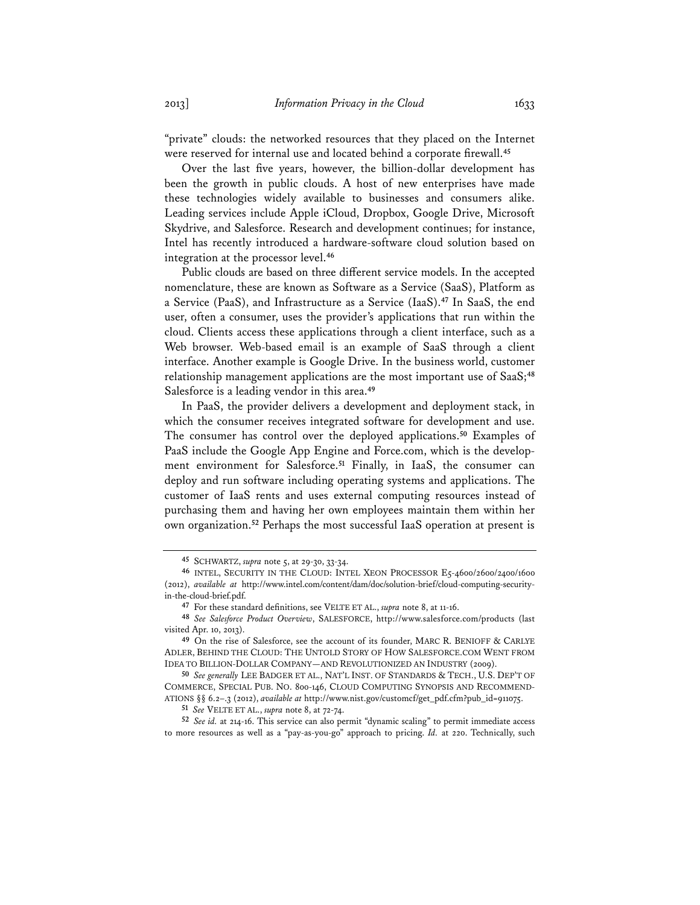"private" clouds: the networked resources that they placed on the Internet were reserved for internal use and located behind a corporate firewall.**<sup>45</sup>**

Over the last five years, however, the billion-dollar development has been the growth in public clouds. A host of new enterprises have made these technologies widely available to businesses and consumers alike. Leading services include Apple iCloud, Dropbox, Google Drive, Microsoft Skydrive, and Salesforce. Research and development continues; for instance, Intel has recently introduced a hardware-software cloud solution based on integration at the processor level.**<sup>46</sup>**

Public clouds are based on three different service models. In the accepted nomenclature, these are known as Software as a Service (SaaS), Platform as a Service (PaaS), and Infrastructure as a Service (IaaS).**<sup>47</sup>** In SaaS, the end user, often a consumer, uses the provider's applications that run within the cloud. Clients access these applications through a client interface, such as a Web browser. Web-based email is an example of SaaS through a client interface. Another example is Google Drive. In the business world, customer relationship management applications are the most important use of SaaS;**<sup>48</sup>** Salesforce is a leading vendor in this area.**<sup>49</sup>**

In PaaS, the provider delivers a development and deployment stack, in which the consumer receives integrated software for development and use. The consumer has control over the deployed applications.**<sup>50</sup>** Examples of PaaS include the Google App Engine and Force.com, which is the development environment for Salesforce.**<sup>51</sup>** Finally, in IaaS, the consumer can deploy and run software including operating systems and applications. The customer of IaaS rents and uses external computing resources instead of purchasing them and having her own employees maintain them within her own organization.**<sup>52</sup>** Perhaps the most successful IaaS operation at present is

**<sup>45</sup>** SCHWARTZ, *supra* note 5, at 29-30, 33-34.

**<sup>46</sup>** INTEL, SECURITY IN THE CLOUD: INTEL XEON PROCESSOR E5-4600/2600/2400/1600 (2012), *available at* http://www.intel.com/content/dam/doc/solution-brief/cloud-computing-securityin-the-cloud-brief.pdf.

**<sup>47</sup>** For these standard definitions, see VELTE ET AL., *supra* note 8, at 11-16.

**<sup>48</sup>** *See Salesforce Product Overview*, SALESFORCE, http://www.salesforce.com/products (last visited Apr. 10, 2013).

**<sup>49</sup>** On the rise of Salesforce, see the account of its founder, MARC R. BENIOFF & CARLYE ADLER, BEHIND THE CLOUD: THE UNTOLD STORY OF HOW SALESFORCE.COM WENT FROM IDEA TO BILLION-DOLLAR COMPANY—AND REVOLUTIONIZED AN INDUSTRY (2009).

**<sup>50</sup>** *See generally* LEE BADGER ET AL., NAT'L INST. OF STANDARDS & TECH., U.S. DEP'T OF COMMERCE, SPECIAL PUB. NO. 800-146, CLOUD COMPUTING SYNOPSIS AND RECOMMEND-ATIONS §§ 6.2–.3 (2012), *available at* http://www.nist.gov/customcf/get\_pdf.cfm?pub\_id=911075.

**<sup>51</sup>** *See* VELTE ET AL., *supra* note 8, at 72-74.

**<sup>52</sup>** *See id.* at 214-16. This service can also permit "dynamic scaling" to permit immediate access to more resources as well as a "pay-as-you-go" approach to pricing. *Id.* at 220. Technically, such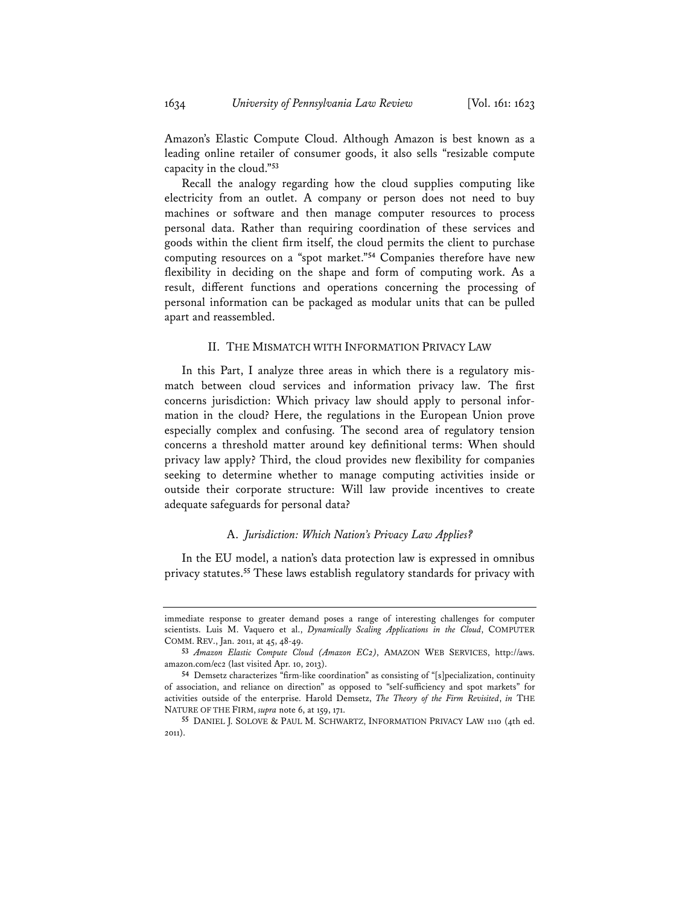Amazon's Elastic Compute Cloud. Although Amazon is best known as a leading online retailer of consumer goods, it also sells "resizable compute capacity in the cloud."**<sup>53</sup>**

Recall the analogy regarding how the cloud supplies computing like electricity from an outlet. A company or person does not need to buy machines or software and then manage computer resources to process personal data. Rather than requiring coordination of these services and goods within the client firm itself, the cloud permits the client to purchase computing resources on a "spot market."**<sup>54</sup>** Companies therefore have new flexibility in deciding on the shape and form of computing work. As a result, different functions and operations concerning the processing of personal information can be packaged as modular units that can be pulled apart and reassembled.

#### II. THE MISMATCH WITH INFORMATION PRIVACY LAW

In this Part, I analyze three areas in which there is a regulatory mismatch between cloud services and information privacy law. The first concerns jurisdiction: Which privacy law should apply to personal information in the cloud? Here, the regulations in the European Union prove especially complex and confusing. The second area of regulatory tension concerns a threshold matter around key definitional terms: When should privacy law apply? Third, the cloud provides new flexibility for companies seeking to determine whether to manage computing activities inside or outside their corporate structure: Will law provide incentives to create adequate safeguards for personal data?

### A. *Jurisdiction: Which Nation's Privacy Law Applies?*

In the EU model, a nation's data protection law is expressed in omnibus privacy statutes.**<sup>55</sup>** These laws establish regulatory standards for privacy with

immediate response to greater demand poses a range of interesting challenges for computer scientists. Luis M. Vaquero et al., *Dynamically Scaling Applications in the Cloud*, COMPUTER COMM. REV., Jan. 2011, at 45, 48-49.

**<sup>53</sup>** *Amazon Elastic Compute Cloud (Amazon EC2)*, AMAZON WEB SERVICES, http://aws. amazon.com/ec2 (last visited Apr. 10, 2013).

**<sup>54</sup>** Demsetz characterizes "firm-like coordination" as consisting of "[s]pecialization, continuity of association, and reliance on direction" as opposed to "self-sufficiency and spot markets" for activities outside of the enterprise. Harold Demsetz, *The Theory of the Firm Revisited*, *in* THE NATURE OF THE FIRM, *supra* note 6, at 159, 171.

**<sup>55</sup>** DANIEL J. SOLOVE & PAUL M. SCHWARTZ, INFORMATION PRIVACY LAW 1110 (4th ed. 2011).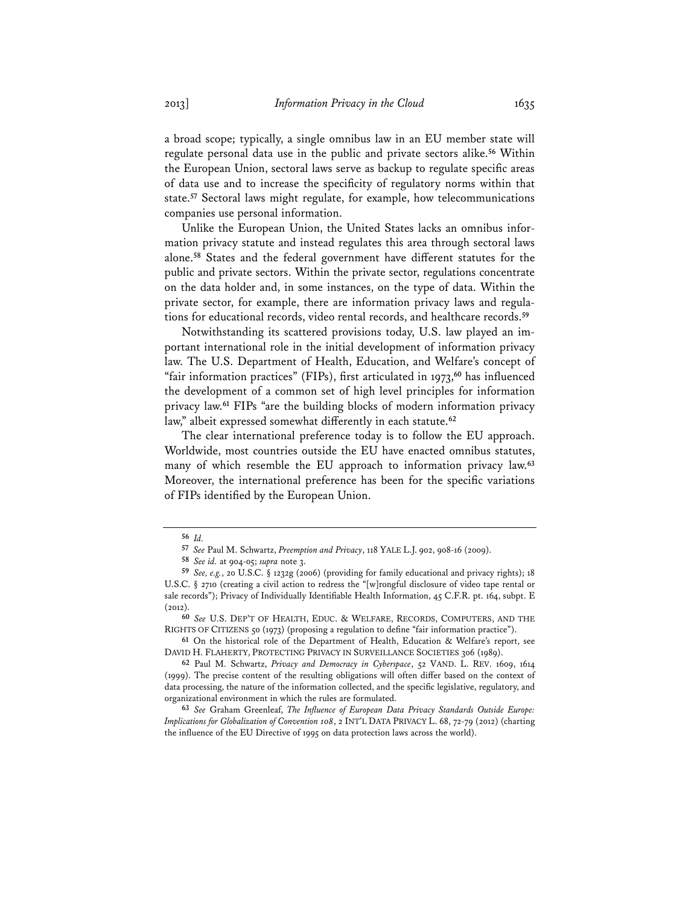a broad scope; typically, a single omnibus law in an EU member state will regulate personal data use in the public and private sectors alike.**<sup>56</sup>** Within the European Union, sectoral laws serve as backup to regulate specific areas of data use and to increase the specificity of regulatory norms within that state.**<sup>57</sup>** Sectoral laws might regulate, for example, how telecommunications companies use personal information.

Unlike the European Union, the United States lacks an omnibus information privacy statute and instead regulates this area through sectoral laws alone.**<sup>58</sup>** States and the federal government have different statutes for the public and private sectors. Within the private sector, regulations concentrate on the data holder and, in some instances, on the type of data. Within the private sector, for example, there are information privacy laws and regulations for educational records, video rental records, and healthcare records.**<sup>59</sup>**

Notwithstanding its scattered provisions today, U.S. law played an important international role in the initial development of information privacy law. The U.S. Department of Health, Education, and Welfare's concept of "fair information practices" (FIPs), first articulated in 1973,**<sup>60</sup>** has influenced the development of a common set of high level principles for information privacy law.**<sup>61</sup>** FIPs "are the building blocks of modern information privacy law," albeit expressed somewhat differently in each statute.**<sup>62</sup>**

The clear international preference today is to follow the EU approach. Worldwide, most countries outside the EU have enacted omnibus statutes, many of which resemble the EU approach to information privacy law.**<sup>63</sup>** Moreover, the international preference has been for the specific variations of FIPs identified by the European Union.

**<sup>56</sup>** *Id.*

**<sup>57</sup>** *See* Paul M. Schwartz, *Preemption and Privacy*, 118 YALE L.J. 902, 908-16 (2009).

**<sup>58</sup>** *See id.* at 904-05; *supra* note 3.

**<sup>59</sup>** *See, e.g.*, 20 U.S.C. § 1232g (2006) (providing for family educational and privacy rights); 18 U.S.C. § 2710 (creating a civil action to redress the "[w]rongful disclosure of video tape rental or sale records"); Privacy of Individually Identifiable Health Information, 45 C.F.R. pt. 164, subpt. E  $(2012)$ 

**<sup>60</sup>** *See* U.S. DEP'T OF HEALTH, EDUC. & WELFARE, RECORDS, COMPUTERS, AND THE RIGHTS OF CITIZENS 50 (1973) (proposing a regulation to define "fair information practice").

**<sup>61</sup>** On the historical role of the Department of Health, Education & Welfare's report, see DAVID H. FLAHERTY, PROTECTING PRIVACY IN SURVEILLANCE SOCIETIES 306 (1989).

**<sup>62</sup>** Paul M. Schwartz, *Privacy and Democracy in Cyberspace*, 52 VAND. L. REV. 1609, 1614 (1999). The precise content of the resulting obligations will often differ based on the context of data processing, the nature of the information collected, and the specific legislative, regulatory, and organizational environment in which the rules are formulated.

**<sup>63</sup>** *See* Graham Greenleaf, *The Influence of European Data Privacy Standards Outside Europe: Implications for Globalization of Convention 108*, 2 INT'L DATA PRIVACY L. 68, 72-79 (2012) (charting the influence of the EU Directive of 1995 on data protection laws across the world).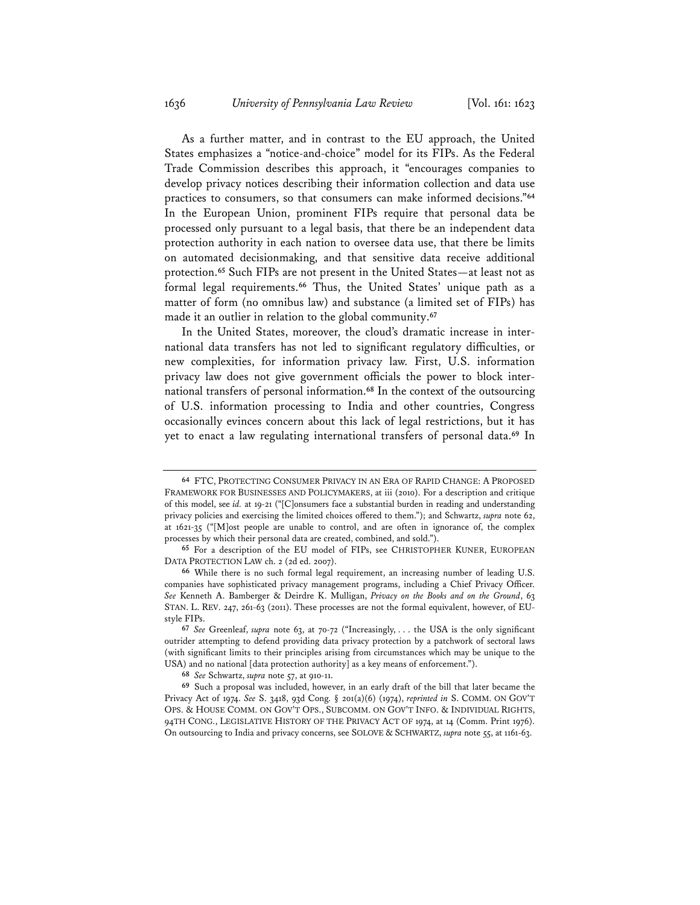As a further matter, and in contrast to the EU approach, the United States emphasizes a "notice-and-choice" model for its FIPs. As the Federal Trade Commission describes this approach, it "encourages companies to develop privacy notices describing their information collection and data use practices to consumers, so that consumers can make informed decisions."**<sup>64</sup>** In the European Union, prominent FIPs require that personal data be processed only pursuant to a legal basis, that there be an independent data protection authority in each nation to oversee data use, that there be limits on automated decisionmaking, and that sensitive data receive additional protection.**<sup>65</sup>** Such FIPs are not present in the United States—at least not as formal legal requirements.**<sup>66</sup>** Thus, the United States' unique path as a matter of form (no omnibus law) and substance (a limited set of FIPs) has made it an outlier in relation to the global community.**<sup>67</sup>**

In the United States, moreover, the cloud's dramatic increase in international data transfers has not led to significant regulatory difficulties, or new complexities, for information privacy law. First, U.S. information privacy law does not give government officials the power to block international transfers of personal information.**<sup>68</sup>** In the context of the outsourcing of U.S. information processing to India and other countries, Congress occasionally evinces concern about this lack of legal restrictions, but it has yet to enact a law regulating international transfers of personal data.**<sup>69</sup>** In

**<sup>64</sup>** FTC, PROTECTING CONSUMER PRIVACY IN AN ERA OF RAPID CHANGE: A PROPOSED FRAMEWORK FOR BUSINESSES AND POLICYMAKERS, at iii (2010). For a description and critique of this model, see *id.* at 19-21 ("[C]onsumers face a substantial burden in reading and understanding privacy policies and exercising the limited choices offered to them."); and Schwartz, *supra* note 62, at  $1621-35$  ("[M]ost people are unable to control, and are often in ignorance of, the complex processes by which their personal data are created, combined, and sold.").

**<sup>65</sup>** For a description of the EU model of FIPs, see CHRISTOPHER KUNER, EUROPEAN DATA PROTECTION LAW ch. 2 (2d ed. 2007).

**<sup>66</sup>** While there is no such formal legal requirement, an increasing number of leading U.S. companies have sophisticated privacy management programs, including a Chief Privacy Officer. *See* Kenneth A. Bamberger & Deirdre K. Mulligan, *Privacy on the Books and on the Ground*, 63 STAN. L. REV. 247, 261-63 (2011). These processes are not the formal equivalent, however, of EUstyle FIPs.

**<sup>67</sup>** *See* Greenleaf, *supra* note 63, at 70-72 ("Increasingly, . . . the USA is the only significant outrider attempting to defend providing data privacy protection by a patchwork of sectoral laws (with significant limits to their principles arising from circumstances which may be unique to the USA) and no national [data protection authority] as a key means of enforcement.").

**<sup>68</sup>** *See* Schwartz, *supra* note 57, at 910-11.

**<sup>69</sup>** Such a proposal was included, however, in an early draft of the bill that later became the Privacy Act of 1974. *See* S. 3418, 93d Cong. § 201(a)(6) (1974), *reprinted in* S. COMM. ON GOV'T OPS. & HOUSE COMM. ON GOV'T OPS., SUBCOMM. ON GOV'T INFO. & INDIVIDUAL RIGHTS, 94TH CONG., LEGISLATIVE HISTORY OF THE PRIVACY ACT OF 1974, at 14 (Comm. Print 1976). On outsourcing to India and privacy concerns, see SOLOVE & SCHWARTZ, *supra* note 55, at 1161-63.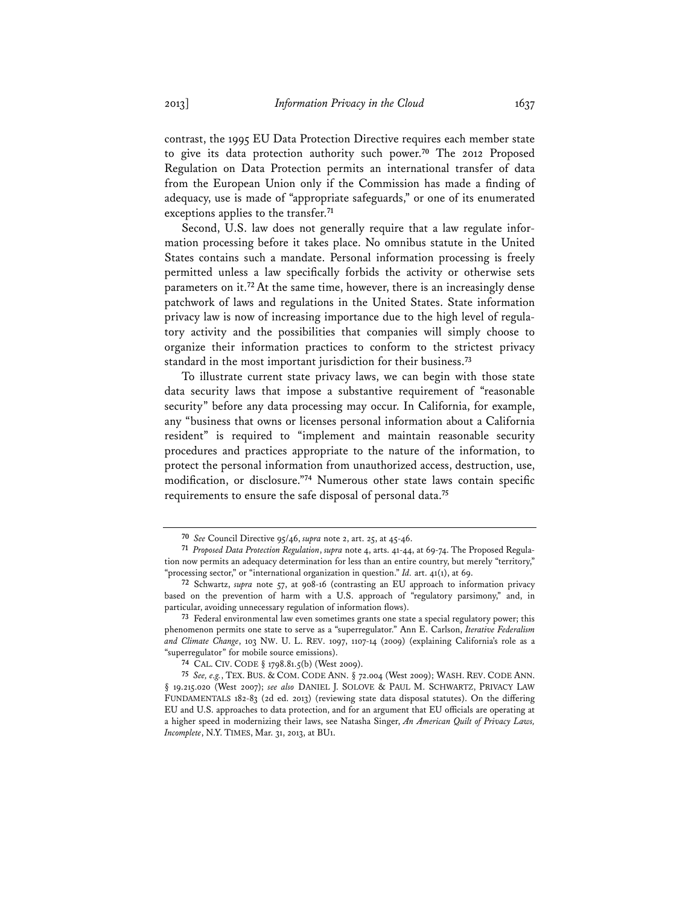contrast, the 1995 EU Data Protection Directive requires each member state to give its data protection authority such power.**<sup>70</sup>** The 2012 Proposed Regulation on Data Protection permits an international transfer of data from the European Union only if the Commission has made a finding of adequacy, use is made of "appropriate safeguards," or one of its enumerated exceptions applies to the transfer.**<sup>71</sup>**

Second, U.S. law does not generally require that a law regulate information processing before it takes place. No omnibus statute in the United States contains such a mandate. Personal information processing is freely permitted unless a law specifically forbids the activity or otherwise sets parameters on it.**<sup>72</sup>**At the same time, however, there is an increasingly dense patchwork of laws and regulations in the United States. State information privacy law is now of increasing importance due to the high level of regulatory activity and the possibilities that companies will simply choose to organize their information practices to conform to the strictest privacy standard in the most important jurisdiction for their business.**<sup>73</sup>**

To illustrate current state privacy laws, we can begin with those state data security laws that impose a substantive requirement of "reasonable security" before any data processing may occur. In California, for example, any "business that owns or licenses personal information about a California resident" is required to "implement and maintain reasonable security procedures and practices appropriate to the nature of the information, to protect the personal information from unauthorized access, destruction, use, modification, or disclosure."**<sup>74</sup>** Numerous other state laws contain specific requirements to ensure the safe disposal of personal data.**<sup>75</sup>**

**<sup>70</sup>** *See* Council Directive 95/46, *supra* note 2, art. 25, at 45-46.

**<sup>71</sup>** *Proposed Data Protection Regulation*, *supra* note 4, arts. 41-44, at 69-74. The Proposed Regulation now permits an adequacy determination for less than an entire country, but merely "territory," "processing sector," or "international organization in question." *Id.* art. 41(1), at 69.

**<sup>72</sup>** Schwartz, *supra* note 57, at 908-16 (contrasting an EU approach to information privacy based on the prevention of harm with a U.S. approach of "regulatory parsimony," and, in particular, avoiding unnecessary regulation of information flows).

**<sup>73</sup>** Federal environmental law even sometimes grants one state a special regulatory power; this phenomenon permits one state to serve as a "superregulator." Ann E. Carlson, *Iterative Federalism and Climate Change*, 103 NW. U. L. REV. 1097, 1107-14 (2009) (explaining California's role as a "superregulator" for mobile source emissions).

**<sup>74</sup>** CAL. CIV. CODE § 1798.81.5(b) (West 2009).

**<sup>75</sup>** *See, e.g.*, TEX. BUS. & COM. CODE ANN. § 72.004 (West 2009); WASH. REV. CODE ANN. § 19.215.020 (West 2007); *see also* DANIEL J. SOLOVE & PAUL M. SCHWARTZ, PRIVACY LAW FUNDAMENTALS 182-83 (2d ed. 2013) (reviewing state data disposal statutes). On the differing EU and U.S. approaches to data protection, and for an argument that EU officials are operating at a higher speed in modernizing their laws, see Natasha Singer, *An American Quilt of Privacy Laws, Incomplete*, N.Y. TIMES, Mar. 31, 2013, at BU1.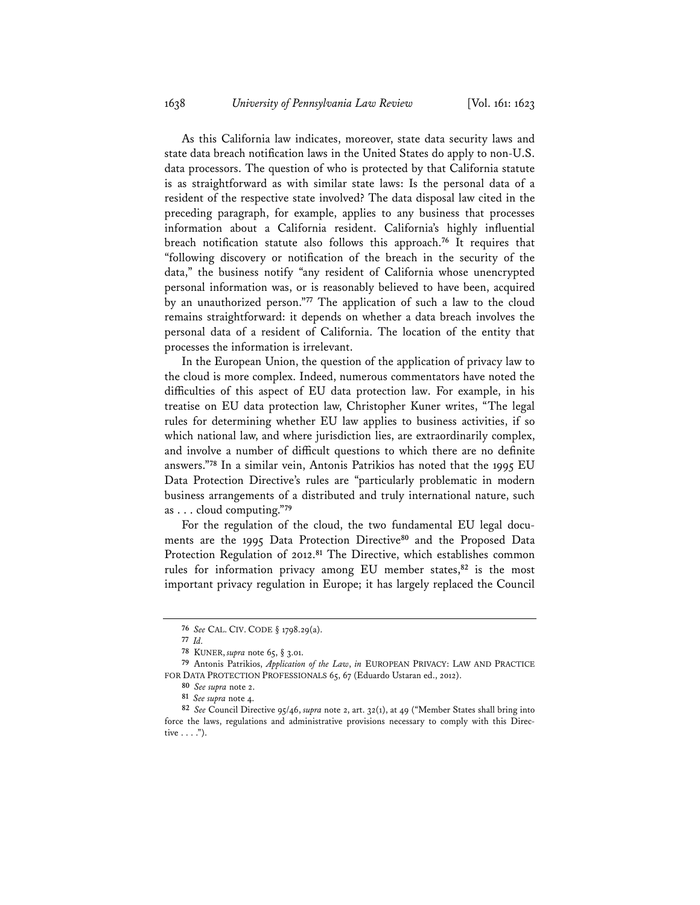As this California law indicates, moreover, state data security laws and state data breach notification laws in the United States do apply to non-U.S. data processors. The question of who is protected by that California statute is as straightforward as with similar state laws: Is the personal data of a resident of the respective state involved? The data disposal law cited in the preceding paragraph, for example, applies to any business that processes information about a California resident. California's highly influential breach notification statute also follows this approach.**<sup>76</sup>** It requires that "following discovery or notification of the breach in the security of the data," the business notify "any resident of California whose unencrypted personal information was, or is reasonably believed to have been, acquired by an unauthorized person."**<sup>77</sup>** The application of such a law to the cloud remains straightforward: it depends on whether a data breach involves the personal data of a resident of California. The location of the entity that processes the information is irrelevant.

In the European Union, the question of the application of privacy law to the cloud is more complex. Indeed, numerous commentators have noted the difficulties of this aspect of EU data protection law. For example, in his treatise on EU data protection law, Christopher Kuner writes, "The legal rules for determining whether EU law applies to business activities, if so which national law, and where jurisdiction lies, are extraordinarily complex, and involve a number of difficult questions to which there are no definite answers."**<sup>78</sup>** In a similar vein, Antonis Patrikios has noted that the 1995 EU Data Protection Directive's rules are "particularly problematic in modern business arrangements of a distributed and truly international nature, such as . . . cloud computing."**<sup>79</sup>**

For the regulation of the cloud, the two fundamental EU legal documents are the 1995 Data Protection Directive**<sup>80</sup>** and the Proposed Data Protection Regulation of 2012.**<sup>81</sup>** The Directive, which establishes common rules for information privacy among EU member states,**<sup>82</sup>** is the most important privacy regulation in Europe; it has largely replaced the Council

**<sup>76</sup>** *See* CAL. CIV. CODE § 1798.29(a).

**<sup>77</sup>** *Id.*

**<sup>78</sup>** KUNER, *supra* note 65, § 3.01.

**<sup>79</sup>** Antonis Patrikios, *Application of the Law*, *in* EUROPEAN PRIVACY: LAW AND PRACTICE FOR DATA PROTECTION PROFESSIONALS 65, 67 (Eduardo Ustaran ed., 2012).

**<sup>80</sup>** *See supra* note 2.

**<sup>81</sup>** *See supra* note 4.

**<sup>82</sup>** *See* Council Directive 95/46, *supra* note 2, art. 32(1), at 49 ("Member States shall bring into force the laws, regulations and administrative provisions necessary to comply with this Directive  $\dots$ .").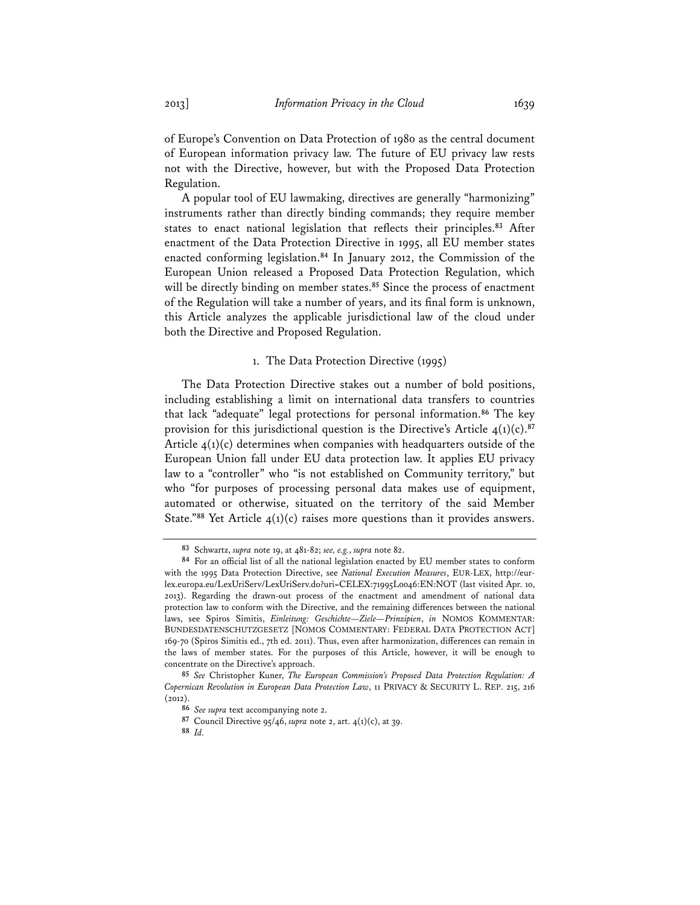of Europe's Convention on Data Protection of 1980 as the central document of European information privacy law. The future of EU privacy law rests not with the Directive, however, but with the Proposed Data Protection Regulation.

A popular tool of EU lawmaking, directives are generally "harmonizing" instruments rather than directly binding commands; they require member states to enact national legislation that reflects their principles.**<sup>83</sup>** After enactment of the Data Protection Directive in 1995, all EU member states enacted conforming legislation.**<sup>84</sup>** In January 2012, the Commission of the European Union released a Proposed Data Protection Regulation, which will be directly binding on member states.**<sup>85</sup>** Since the process of enactment of the Regulation will take a number of years, and its final form is unknown, this Article analyzes the applicable jurisdictional law of the cloud under both the Directive and Proposed Regulation.

#### 1. The Data Protection Directive (1995)

The Data Protection Directive stakes out a number of bold positions, including establishing a limit on international data transfers to countries that lack "adequate" legal protections for personal information.**<sup>86</sup>** The key provision for this jurisdictional question is the Directive's Article 4(1)(c).**<sup>87</sup>** Article  $4(1)(c)$  determines when companies with headquarters outside of the European Union fall under EU data protection law. It applies EU privacy law to a "controller" who "is not established on Community territory," but who "for purposes of processing personal data makes use of equipment, automated or otherwise, situated on the territory of the said Member State."**<sup>88</sup>** Yet Article 4(1)(c) raises more questions than it provides answers.

**<sup>83</sup>** Schwartz, *supra* note 19, at 481-82; *see, e.g.*, *supra* note 82.

**<sup>84</sup>** For an official list of all the national legislation enacted by EU member states to conform with the 1995 Data Protection Directive, see *National Execution Measures*, EUR-LEX, http://eurlex.europa.eu/LexUriServ/LexUriServ.do?uri=CELEX:71995L0046:EN:NOT (last visited Apr. 10, 2013). Regarding the drawn-out process of the enactment and amendment of national data protection law to conform with the Directive, and the remaining differences between the national laws, see Spiros Simitis, *Einleitung: Geschichte—Ziele—Prinzipien*, *in* NOMOS KOMMENTAR: BUNDESDATENSCHUTZGESETZ [NOMOS COMMENTARY: FEDERAL DATA PROTECTION ACT] 169-70 (Spiros Simitis ed., 7th ed. 2011). Thus, even after harmonization, differences can remain in the laws of member states. For the purposes of this Article, however, it will be enough to concentrate on the Directive's approach.

**<sup>85</sup>** *See* Christopher Kuner, *The European Commission's Proposed Data Protection Regulation: A Copernican Revolution in European Data Protection Law*, 11 PRIVACY & SECURITY L. REP. 215, 216 (2012).

**<sup>86</sup>** *See supra* text accompanying note 2.

**<sup>87</sup>** Council Directive 95/46, *supra* note 2, art. 4(1)(c), at 39.

**<sup>88</sup>** *Id.*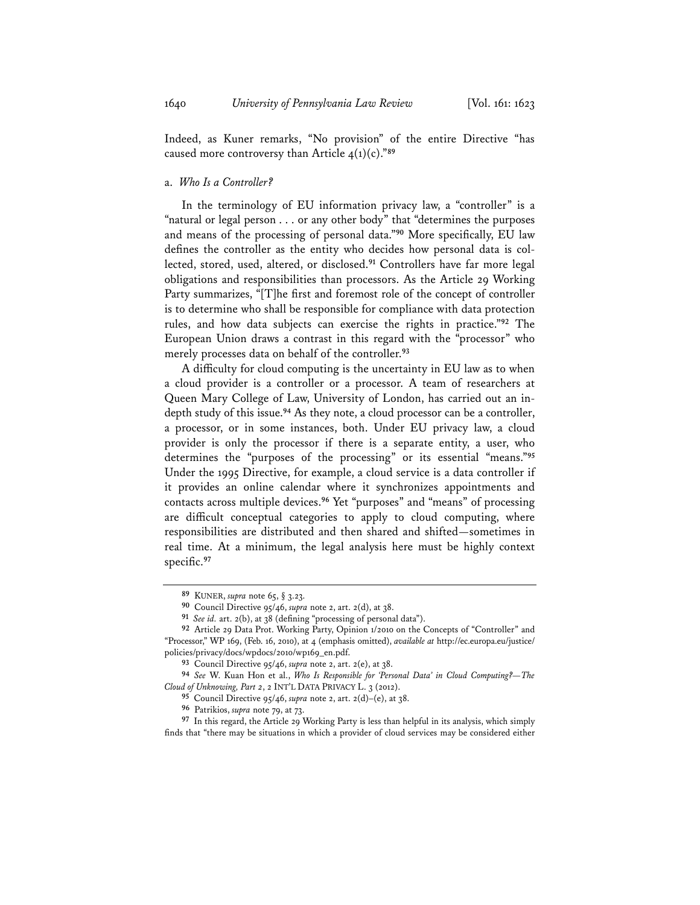Indeed, as Kuner remarks, "No provision" of the entire Directive "has caused more controversy than Article 4(1)(c)."**<sup>89</sup>**

# a. *Who Is a Controller?*

In the terminology of EU information privacy law, a "controller" is a "natural or legal person . . . or any other body" that "determines the purposes and means of the processing of personal data."**<sup>90</sup>** More specifically, EU law defines the controller as the entity who decides how personal data is collected, stored, used, altered, or disclosed.**<sup>91</sup>** Controllers have far more legal obligations and responsibilities than processors. As the Article 29 Working Party summarizes, "[T]he first and foremost role of the concept of controller is to determine who shall be responsible for compliance with data protection rules, and how data subjects can exercise the rights in practice."**<sup>92</sup>** The European Union draws a contrast in this regard with the "processor" who merely processes data on behalf of the controller.**<sup>93</sup>**

A difficulty for cloud computing is the uncertainty in EU law as to when a cloud provider is a controller or a processor. A team of researchers at Queen Mary College of Law, University of London, has carried out an indepth study of this issue.**<sup>94</sup>** As they note, a cloud processor can be a controller, a processor, or in some instances, both. Under EU privacy law, a cloud provider is only the processor if there is a separate entity, a user, who determines the "purposes of the processing" or its essential "means."**<sup>95</sup>** Under the 1995 Directive, for example, a cloud service is a data controller if it provides an online calendar where it synchronizes appointments and contacts across multiple devices.**<sup>96</sup>** Yet "purposes" and "means" of processing are difficult conceptual categories to apply to cloud computing, where responsibilities are distributed and then shared and shifted—sometimes in real time. At a minimum, the legal analysis here must be highly context specific.**<sup>97</sup>**

**<sup>89</sup>** KUNER, *supra* note 65, § 3.23.

**<sup>90</sup>** Council Directive 95/46, *supra* note 2, art. 2(d), at 38.

**<sup>91</sup>** *See id.* art. 2(b), at 38 (defining "processing of personal data").

**<sup>92</sup>** Article 29 Data Prot. Working Party, Opinion 1/2010 on the Concepts of "Controller" and "Processor," WP 169, (Feb. 16, 2010), at 4 (emphasis omitted), *available at* http://ec.europa.eu/justice/ policies/privacy/docs/wpdocs/2010/wp169\_en.pdf.

**<sup>93</sup>** Council Directive 95/46, *supra* note 2, art. 2(e), at 38.

**<sup>94</sup>** *See* W. Kuan Hon et al., *Who Is Responsible for 'Personal Data' in Cloud Computing?—The Cloud of Unknowing, Part 2*, 2 INT'L DATA PRIVACY L. 3 (2012).

**<sup>95</sup>** Council Directive 95/46, *supra* note 2, art. 2(d)–(e), at 38.

**<sup>96</sup>** Patrikios, *supra* note 79, at 73.

**<sup>97</sup>** In this regard, the Article 29 Working Party is less than helpful in its analysis, which simply finds that "there may be situations in which a provider of cloud services may be considered either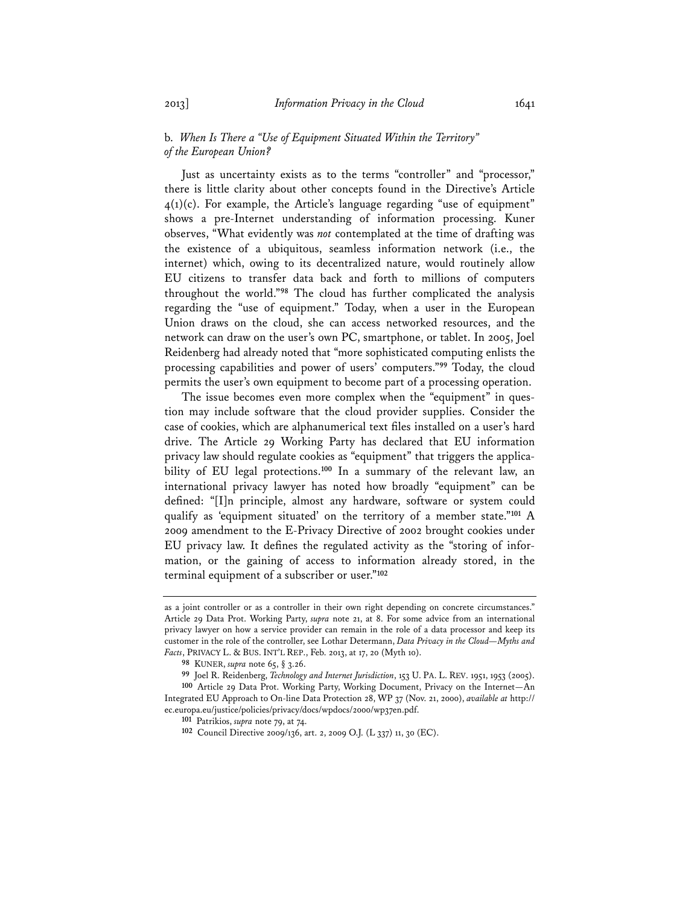# b. *When Is There a "Use of Equipment Situated Within the Territory" of the European Union?*

Just as uncertainty exists as to the terms "controller" and "processor," there is little clarity about other concepts found in the Directive's Article  $4(1)(c)$ . For example, the Article's language regarding "use of equipment" shows a pre-Internet understanding of information processing. Kuner observes, "What evidently was *not* contemplated at the time of drafting was the existence of a ubiquitous, seamless information network (i.e., the internet) which, owing to its decentralized nature, would routinely allow EU citizens to transfer data back and forth to millions of computers throughout the world."**<sup>98</sup>** The cloud has further complicated the analysis regarding the "use of equipment." Today, when a user in the European Union draws on the cloud, she can access networked resources, and the network can draw on the user's own PC, smartphone, or tablet. In 2005, Joel Reidenberg had already noted that "more sophisticated computing enlists the processing capabilities and power of users' computers."**<sup>99</sup>** Today, the cloud permits the user's own equipment to become part of a processing operation.

The issue becomes even more complex when the "equipment" in question may include software that the cloud provider supplies. Consider the case of cookies, which are alphanumerical text files installed on a user's hard drive. The Article 29 Working Party has declared that EU information privacy law should regulate cookies as "equipment" that triggers the applicability of EU legal protections.**<sup>100</sup>** In a summary of the relevant law, an international privacy lawyer has noted how broadly "equipment" can be defined: "[I]n principle, almost any hardware, software or system could qualify as 'equipment situated' on the territory of a member state."**<sup>101</sup>** A 2009 amendment to the E-Privacy Directive of 2002 brought cookies under EU privacy law. It defines the regulated activity as the "storing of information, or the gaining of access to information already stored, in the terminal equipment of a subscriber or user."**<sup>102</sup>**

as a joint controller or as a controller in their own right depending on concrete circumstances." Article 29 Data Prot. Working Party, *supra* note 21, at 8. For some advice from an international privacy lawyer on how a service provider can remain in the role of a data processor and keep its customer in the role of the controller, see Lothar Determann, *Data Privacy in the Cloud—Myths and Facts*, PRIVACY L. & BUS. INT'L REP., Feb. 2013, at 17, 20 (Myth 10).

**<sup>98</sup>** KUNER, *supra* note 65, § 3.26.

**<sup>99</sup>** Joel R. Reidenberg, *Technology and Internet Jurisdiction*, 153 U. PA. L. REV. 1951, 1953 (2005). **100** Article 29 Data Prot. Working Party, Working Document, Privacy on the Internet—An Integrated EU Approach to On-line Data Protection 28, WP 37 (Nov. 21, 2000), *available at* http:// ec.europa.eu/justice/policies/privacy/docs/wpdocs/2000/wp37en.pdf.

**<sup>101</sup>** Patrikios, *supra* note 79, at 74.

**<sup>102</sup>** Council Directive 2009/136, art. 2, 2009 O.J. (L 337) 11, 30 (EC).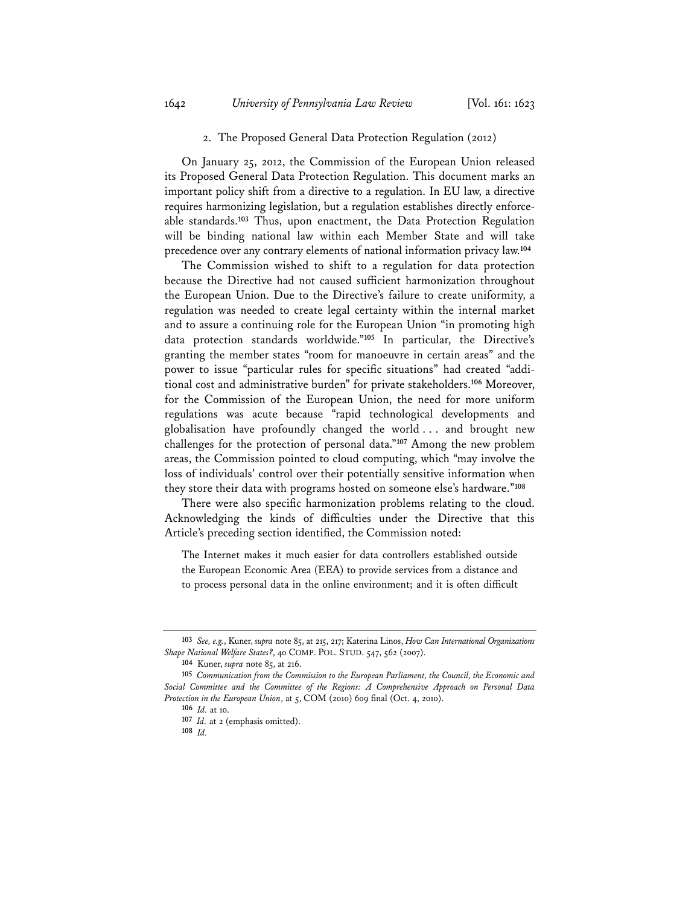### 2. The Proposed General Data Protection Regulation (2012)

On January 25, 2012, the Commission of the European Union released its Proposed General Data Protection Regulation. This document marks an important policy shift from a directive to a regulation. In EU law, a directive requires harmonizing legislation, but a regulation establishes directly enforceable standards.**<sup>103</sup>** Thus, upon enactment, the Data Protection Regulation will be binding national law within each Member State and will take precedence over any contrary elements of national information privacy law.**<sup>104</sup>**

The Commission wished to shift to a regulation for data protection because the Directive had not caused sufficient harmonization throughout the European Union. Due to the Directive's failure to create uniformity, a regulation was needed to create legal certainty within the internal market and to assure a continuing role for the European Union "in promoting high data protection standards worldwide."**<sup>105</sup>** In particular, the Directive's granting the member states "room for manoeuvre in certain areas" and the power to issue "particular rules for specific situations" had created "additional cost and administrative burden" for private stakeholders.**<sup>106</sup>** Moreover, for the Commission of the European Union, the need for more uniform regulations was acute because "rapid technological developments and globalisation have profoundly changed the world . . . and brought new challenges for the protection of personal data."**<sup>107</sup>** Among the new problem areas, the Commission pointed to cloud computing, which "may involve the loss of individuals' control over their potentially sensitive information when they store their data with programs hosted on someone else's hardware."**<sup>108</sup>**

There were also specific harmonization problems relating to the cloud. Acknowledging the kinds of difficulties under the Directive that this Article's preceding section identified, the Commission noted:

The Internet makes it much easier for data controllers established outside the European Economic Area (EEA) to provide services from a distance and to process personal data in the online environment; and it is often difficult

**<sup>103</sup>** *See, e.g.*, Kuner, *supra* note 85, at 215, 217; Katerina Linos, *How Can International Organizations Shape National Welfare States?*, 40 COMP. POL. STUD. 547, 562 (2007).

**<sup>104</sup>** Kuner, *supra* note 85, at 216.

**<sup>105</sup>** *Communication from the Commission to the European Parliament, the Council, the Economic and Social Committee and the Committee of the Regions: A Comprehensive Approach on Personal Data Protection in the European Union*, at 5, COM (2010) 609 final (Oct. 4, 2010).

**<sup>106</sup>** *Id.* at 10.

**<sup>107</sup>** *Id.* at 2 (emphasis omitted).

**<sup>108</sup>** *Id.*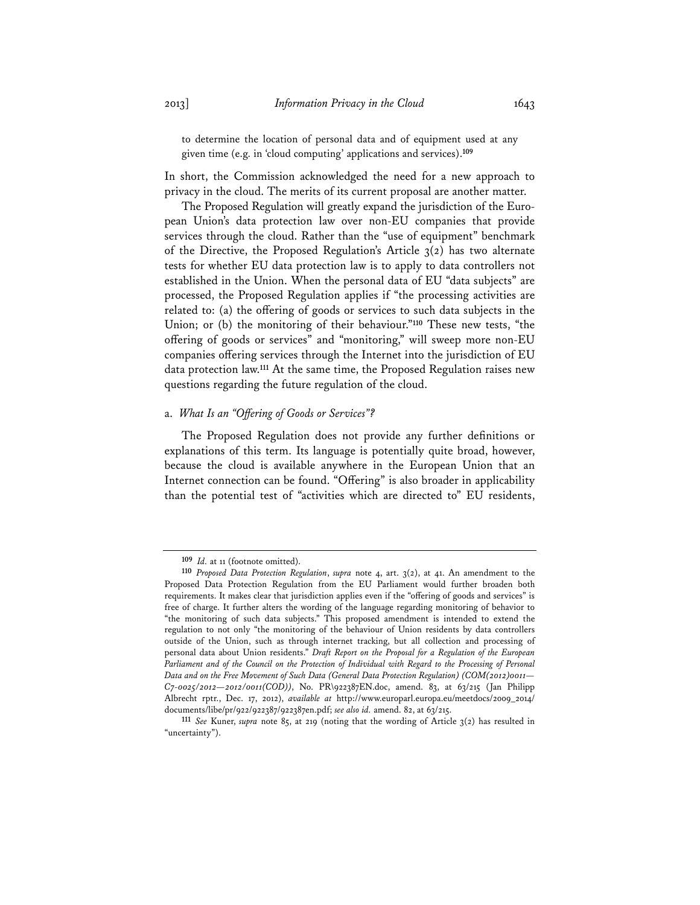to determine the location of personal data and of equipment used at any given time (e.g. in 'cloud computing' applications and services).**<sup>109</sup>**

In short, the Commission acknowledged the need for a new approach to privacy in the cloud. The merits of its current proposal are another matter.

The Proposed Regulation will greatly expand the jurisdiction of the European Union's data protection law over non-EU companies that provide services through the cloud. Rather than the "use of equipment" benchmark of the Directive, the Proposed Regulation's Article 3(2) has two alternate tests for whether EU data protection law is to apply to data controllers not established in the Union. When the personal data of EU "data subjects" are processed, the Proposed Regulation applies if "the processing activities are related to: (a) the offering of goods or services to such data subjects in the Union; or (b) the monitoring of their behaviour."**<sup>110</sup>** These new tests, "the offering of goods or services" and "monitoring," will sweep more non-EU companies offering services through the Internet into the jurisdiction of EU data protection law.**<sup>111</sup>** At the same time, the Proposed Regulation raises new questions regarding the future regulation of the cloud.

# a. *What Is an "Offering of Goods or Services"?*

The Proposed Regulation does not provide any further definitions or explanations of this term. Its language is potentially quite broad, however, because the cloud is available anywhere in the European Union that an Internet connection can be found. "Offering" is also broader in applicability than the potential test of "activities which are directed to" EU residents,

**<sup>109</sup>** *Id.* at 11 (footnote omitted).

**<sup>110</sup>** *Proposed Data Protection Regulation*, *supra* note 4, art. 3(2), at 41. An amendment to the Proposed Data Protection Regulation from the EU Parliament would further broaden both requirements. It makes clear that jurisdiction applies even if the "offering of goods and services" is free of charge. It further alters the wording of the language regarding monitoring of behavior to "the monitoring of such data subjects." This proposed amendment is intended to extend the regulation to not only "the monitoring of the behaviour of Union residents by data controllers outside of the Union, such as through internet tracking, but all collection and processing of personal data about Union residents." *Draft Report on the Proposal for a Regulation of the European*  Parliament and of the Council on the Protection of Individual with Regard to the Processing of Personal *Data and on the Free Movement of Such Data (General Data Protection Regulation) (COM(2012)0011— C7-0025/2012—2012/0011(COD))*, No. PR\922387EN.doc, amend. 83, at 63/215 (Jan Philipp Albrecht rptr., Dec. 17, 2012), *available at* http://www.europarl.europa.eu/meetdocs/2009\_2014/ documents/libe/pr/922/922387/922387en.pdf; *see also id.* amend. 82, at 63/215.

**<sup>111</sup>** *See* Kuner, *supra* note 85, at 219 (noting that the wording of Article 3(2) has resulted in "uncertainty").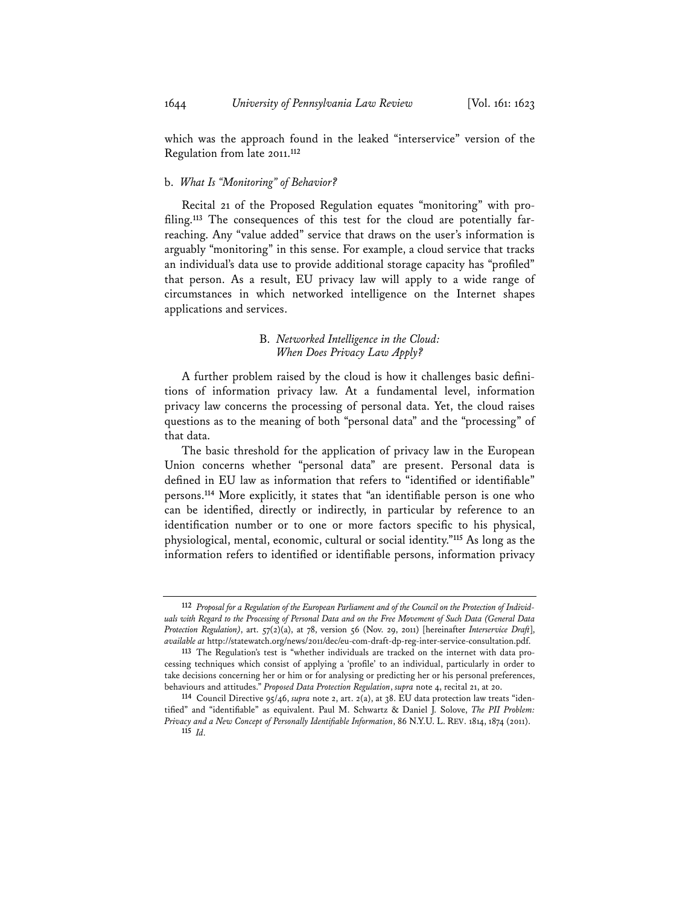which was the approach found in the leaked "interservice" version of the Regulation from late 2011.**<sup>112</sup>**

# b. *What Is "Monitoring" of Behavior?*

Recital 21 of the Proposed Regulation equates "monitoring" with profiling.**113** The consequences of this test for the cloud are potentially farreaching. Any "value added" service that draws on the user's information is arguably "monitoring" in this sense. For example, a cloud service that tracks an individual's data use to provide additional storage capacity has "profiled" that person. As a result, EU privacy law will apply to a wide range of circumstances in which networked intelligence on the Internet shapes applications and services.

# B. *Networked Intelligence in the Cloud: When Does Privacy Law Apply?*

A further problem raised by the cloud is how it challenges basic definitions of information privacy law. At a fundamental level, information privacy law concerns the processing of personal data. Yet, the cloud raises questions as to the meaning of both "personal data" and the "processing" of that data.

The basic threshold for the application of privacy law in the European Union concerns whether "personal data" are present. Personal data is defined in EU law as information that refers to "identified or identifiable" persons.**<sup>114</sup>** More explicitly, it states that "an identifiable person is one who can be identified, directly or indirectly, in particular by reference to an identification number or to one or more factors specific to his physical, physiological, mental, economic, cultural or social identity."**<sup>115</sup>** As long as the information refers to identified or identifiable persons, information privacy

**<sup>112</sup>** *Proposal for a Regulation of the European Parliament and of the Council on the Protection of Individuals with Regard to the Processing of Personal Data and on the Free Movement of Such Data (General Data Protection Regulation)*, art. 57(2)(a), at 78, version 56 (Nov. 29, 2011) [hereinafter *Interservice Draft*], *available at* http://statewatch.org/news/2011/dec/eu-com-draft-dp-reg-inter-service-consultation.pdf.

**<sup>113</sup>** The Regulation's test is "whether individuals are tracked on the internet with data processing techniques which consist of applying a 'profile' to an individual, particularly in order to take decisions concerning her or him or for analysing or predicting her or his personal preferences, behaviours and attitudes." *Proposed Data Protection Regulation*, *supra* note 4, recital 21, at 20.

**<sup>114</sup>** Council Directive 95/46, *supra* note 2, art. 2(a), at 38. EU data protection law treats "identified" and "identifiable" as equivalent. Paul M. Schwartz & Daniel J. Solove, *The PII Problem: Privacy and a New Concept of Personally Identifiable Information*, 86 N.Y.U. L. REV. 1814, 1874 (2011). **115** *Id.*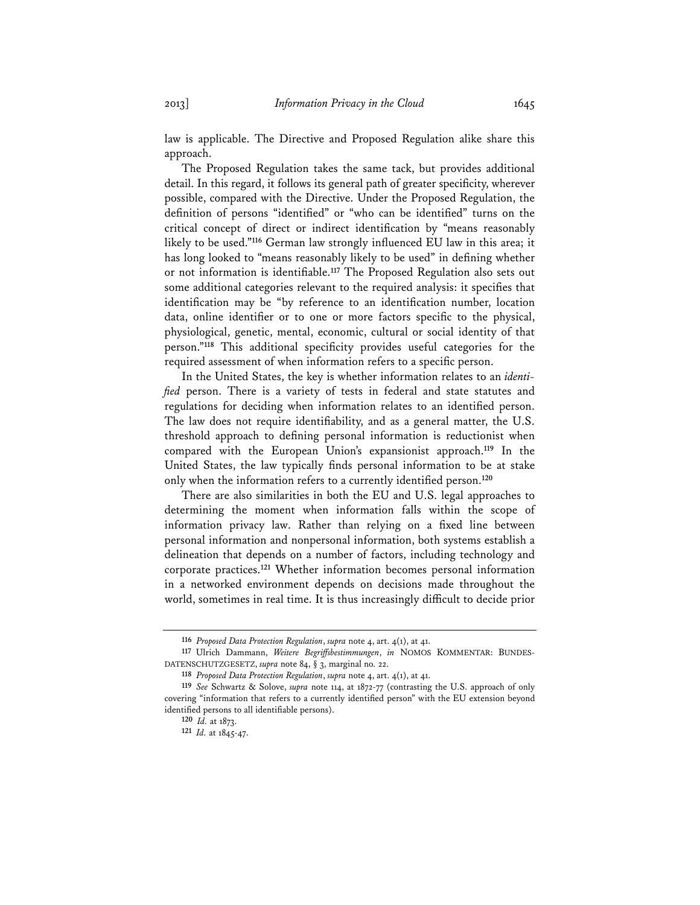law is applicable. The Directive and Proposed Regulation alike share this approach.

The Proposed Regulation takes the same tack, but provides additional detail. In this regard, it follows its general path of greater specificity, wherever possible, compared with the Directive. Under the Proposed Regulation, the definition of persons "identified" or "who can be identified" turns on the critical concept of direct or indirect identification by "means reasonably likely to be used."**<sup>116</sup>** German law strongly influenced EU law in this area; it has long looked to "means reasonably likely to be used" in defining whether or not information is identifiable.**<sup>117</sup>** The Proposed Regulation also sets out some additional categories relevant to the required analysis: it specifies that identification may be "by reference to an identification number, location data, online identifier or to one or more factors specific to the physical, physiological, genetic, mental, economic, cultural or social identity of that person."**<sup>118</sup>** This additional specificity provides useful categories for the required assessment of when information refers to a specific person.

In the United States, the key is whether information relates to an *identified* person. There is a variety of tests in federal and state statutes and regulations for deciding when information relates to an identified person. The law does not require identifiability, and as a general matter, the U.S. threshold approach to defining personal information is reductionist when compared with the European Union's expansionist approach.**<sup>119</sup>** In the United States, the law typically finds personal information to be at stake only when the information refers to a currently identified person.**<sup>120</sup>**

There are also similarities in both the EU and U.S. legal approaches to determining the moment when information falls within the scope of information privacy law. Rather than relying on a fixed line between personal information and nonpersonal information, both systems establish a delineation that depends on a number of factors, including technology and corporate practices.**<sup>121</sup>** Whether information becomes personal information in a networked environment depends on decisions made throughout the world, sometimes in real time. It is thus increasingly difficult to decide prior

**<sup>116</sup>** *Proposed Data Protection Regulation*, *supra* note 4, art. 4(1), at 41.

**<sup>117</sup>** Ulrich Dammann, *Weitere Begriffsbestimmungen*, *in* NOMOS KOMMENTAR: BUNDES-DATENSCHUTZGESETZ, *supra* note 84, § 3, marginal no. 22.

**<sup>118</sup>** *Proposed Data Protection Regulation*, *supra* note 4, art. 4(1), at 41.

**<sup>119</sup>** *See* Schwartz & Solove, *supra* note 114, at 1872-77 (contrasting the U.S. approach of only covering "information that refers to a currently identified person" with the EU extension beyond identified persons to all identifiable persons).

**<sup>120</sup>** *Id.* at 1873.

**<sup>121</sup>** *Id.* at 1845-47.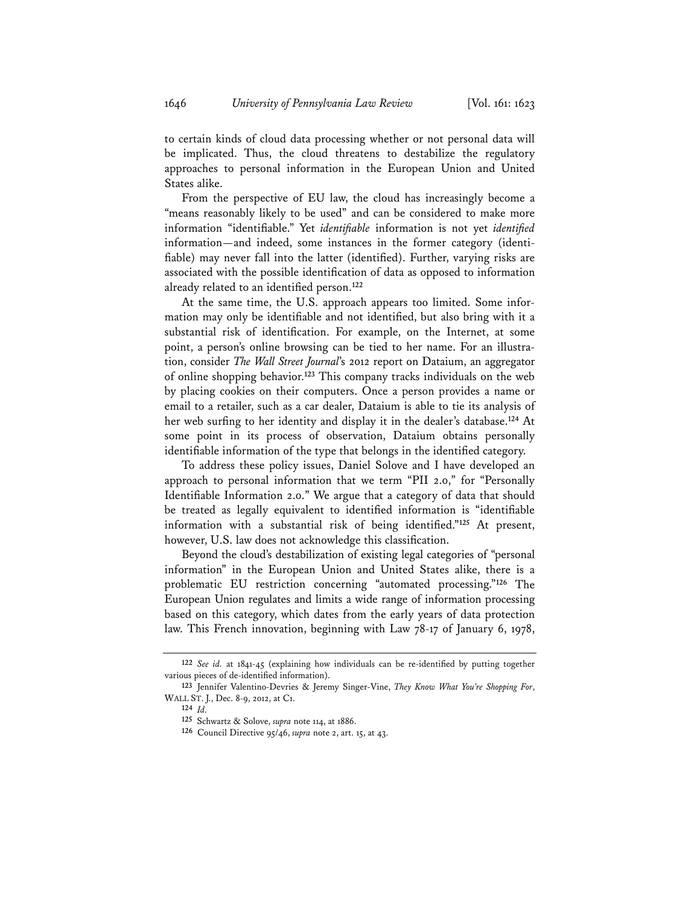to certain kinds of cloud data processing whether or not personal data will be implicated. Thus, the cloud threatens to destabilize the regulatory approaches to personal information in the European Union and United States alike.

From the perspective of EU law, the cloud has increasingly become a "means reasonably likely to be used" and can be considered to make more information "identifiable." Yet *identifiable* information is not yet *identified* information—and indeed, some instances in the former category (identifiable) may never fall into the latter (identified). Further, varying risks are associated with the possible identification of data as opposed to information already related to an identified person.**<sup>122</sup>**

At the same time, the U.S. approach appears too limited. Some information may only be identifiable and not identified, but also bring with it a substantial risk of identification. For example, on the Internet, at some point, a person's online browsing can be tied to her name. For an illustration, consider *The Wall Street Journal*'s 2012 report on Dataium, an aggregator of online shopping behavior.**<sup>123</sup>** This company tracks individuals on the web by placing cookies on their computers. Once a person provides a name or email to a retailer, such as a car dealer, Dataium is able to tie its analysis of her web surfing to her identity and display it in the dealer's database.**<sup>124</sup>** At some point in its process of observation, Dataium obtains personally identifiable information of the type that belongs in the identified category.

To address these policy issues, Daniel Solove and I have developed an approach to personal information that we term "PII 2.0," for "Personally Identifiable Information 2.0." We argue that a category of data that should be treated as legally equivalent to identified information is "identifiable information with a substantial risk of being identified."**<sup>125</sup>** At present, however, U.S. law does not acknowledge this classification.

Beyond the cloud's destabilization of existing legal categories of "personal information" in the European Union and United States alike, there is a problematic EU restriction concerning "automated processing."**<sup>126</sup>** The European Union regulates and limits a wide range of information processing based on this category, which dates from the early years of data protection law. This French innovation, beginning with Law 78-17 of January 6, 1978,

**<sup>122</sup>** *See id.* at 1841-45 (explaining how individuals can be re-identified by putting together various pieces of de-identified information).

**<sup>123</sup>** Jennifer Valentino-Devries & Jeremy Singer-Vine, *They Know What You're Shopping For*, WALL ST. J., Dec. 8-9, 2012, at C1.

**<sup>124</sup>** *Id.*

**<sup>125</sup>** Schwartz & Solove, *supra* note 114, at 1886.

**<sup>126</sup>** Council Directive 95/46, *supra* note 2, art. 15, at 43.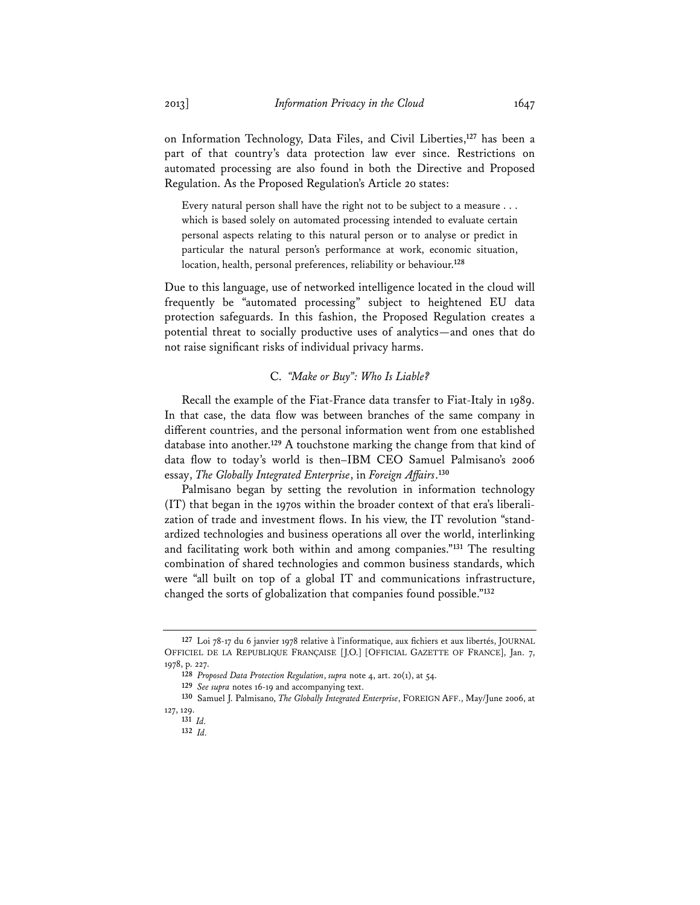on Information Technology, Data Files, and Civil Liberties,**<sup>127</sup>** has been a part of that country's data protection law ever since. Restrictions on automated processing are also found in both the Directive and Proposed Regulation. As the Proposed Regulation's Article 20 states:

Every natural person shall have the right not to be subject to a measure . . . which is based solely on automated processing intended to evaluate certain personal aspects relating to this natural person or to analyse or predict in particular the natural person's performance at work, economic situation, location, health, personal preferences, reliability or behaviour.**<sup>128</sup>**

Due to this language, use of networked intelligence located in the cloud will frequently be "automated processing" subject to heightened EU data protection safeguards. In this fashion, the Proposed Regulation creates a potential threat to socially productive uses of analytics—and ones that do not raise significant risks of individual privacy harms.

### C. *"Make or Buy": Who Is Liable?*

Recall the example of the Fiat-France data transfer to Fiat-Italy in 1989. In that case, the data flow was between branches of the same company in different countries, and the personal information went from one established database into another.**<sup>129</sup>** A touchstone marking the change from that kind of data flow to today's world is then–IBM CEO Samuel Palmisano's 2006 essay, *The Globally Integrated Enterprise*, in *Foreign Affairs*. **130**

Palmisano began by setting the revolution in information technology (IT) that began in the 1970s within the broader context of that era's liberalization of trade and investment flows. In his view, the IT revolution "standardized technologies and business operations all over the world, interlinking and facilitating work both within and among companies."**<sup>131</sup>** The resulting combination of shared technologies and common business standards, which were "all built on top of a global IT and communications infrastructure, changed the sorts of globalization that companies found possible."**<sup>132</sup>**

**<sup>127</sup>** Loi 78-17 du 6 janvier 1978 relative à l'informatique, aux fichiers et aux libertés, JOURNAL OFFICIEL DE LA REPUBLIQUE FRANÇAISE [J.O.] [OFFICIAL GAZETTE OF FRANCE], Jan. 7, 1978, p. 227.

**<sup>128</sup>** *Proposed Data Protection Regulation*, *supra* note 4, art. 20(1), at 54.

**<sup>129</sup>** *See supra* notes 16-19 and accompanying text.

**<sup>130</sup>** Samuel J. Palmisano, *The Globally Integrated Enterprise*, FOREIGN AFF., May/June 2006, at 127, 129.

**<sup>131</sup>** *Id.*

**<sup>132</sup>** *Id.*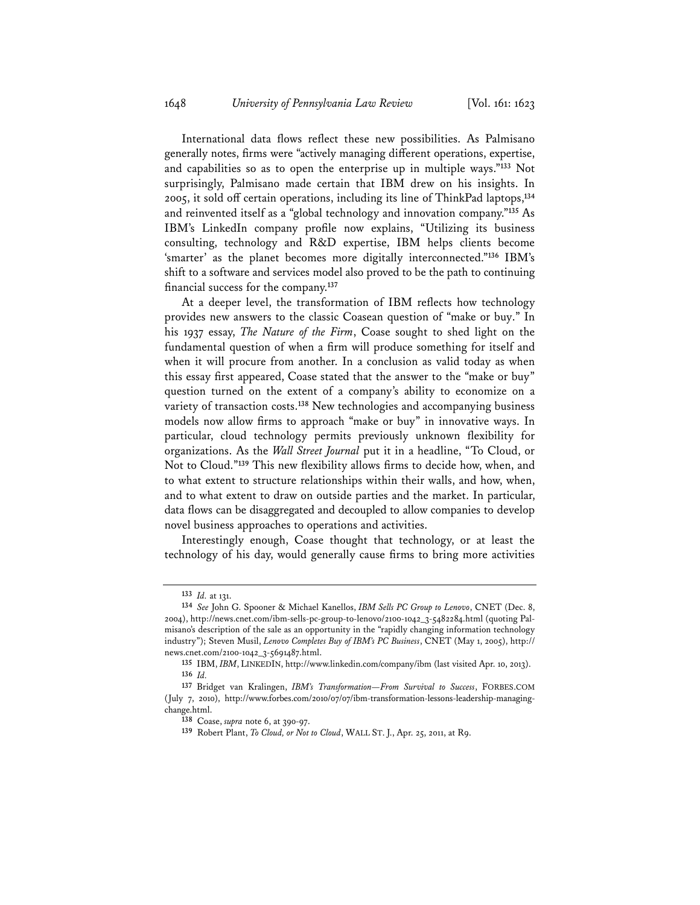International data flows reflect these new possibilities. As Palmisano generally notes, firms were "actively managing different operations, expertise, and capabilities so as to open the enterprise up in multiple ways."**<sup>133</sup>** Not surprisingly, Palmisano made certain that IBM drew on his insights. In 2005, it sold off certain operations, including its line of ThinkPad laptops,**<sup>134</sup>** and reinvented itself as a "global technology and innovation company."**<sup>135</sup>** As IBM's LinkedIn company profile now explains, "Utilizing its business consulting, technology and R&D expertise, IBM helps clients become 'smarter' as the planet becomes more digitally interconnected."**<sup>136</sup>** IBM's shift to a software and services model also proved to be the path to continuing financial success for the company.**<sup>137</sup>**

At a deeper level, the transformation of IBM reflects how technology provides new answers to the classic Coasean question of "make or buy." In his 1937 essay, *The Nature of the Firm*, Coase sought to shed light on the fundamental question of when a firm will produce something for itself and when it will procure from another. In a conclusion as valid today as when this essay first appeared, Coase stated that the answer to the "make or buy" question turned on the extent of a company's ability to economize on a variety of transaction costs.**<sup>138</sup>** New technologies and accompanying business models now allow firms to approach "make or buy" in innovative ways. In particular, cloud technology permits previously unknown flexibility for organizations. As the *Wall Street Journal* put it in a headline, "To Cloud, or Not to Cloud."**<sup>139</sup>** This new flexibility allows firms to decide how, when, and to what extent to structure relationships within their walls, and how, when, and to what extent to draw on outside parties and the market. In particular, data flows can be disaggregated and decoupled to allow companies to develop novel business approaches to operations and activities.

Interestingly enough, Coase thought that technology, or at least the technology of his day, would generally cause firms to bring more activities

**<sup>133</sup>** *Id.* at 131.

**<sup>134</sup>** *See* John G. Spooner & Michael Kanellos, *IBM Sells PC Group to Lenovo*, CNET (Dec. 8, 2004), http://news.cnet.com/ibm-sells-pc-group-to-lenovo/2100-1042\_3-5482284.html (quoting Palmisano's description of the sale as an opportunity in the "rapidly changing information technology industry"); Steven Musil, *Lenovo Completes Buy of IBM's PC Business*, CNET (May 1, 2005), http:// news.cnet.com/2100-1042\_3-5691487.html.

**<sup>135</sup>** IBM, *IBM*, LINKEDIN, http://www.linkedin.com/company/ibm (last visited Apr. 10, 2013). **136** *Id.*

**<sup>137</sup>** Bridget van Kralingen, *IBM's Transformation—From Survival to Success*, FORBES.COM (July 7, 2010), http://www.forbes.com/2010/07/07/ibm-transformation-lessons-leadership-managingchange.html.

**<sup>138</sup>** Coase, *supra* note 6, at 390-97.

**<sup>139</sup>** Robert Plant, *To Cloud, or Not to Cloud*, WALL ST. J., Apr. 25, 2011, at R9.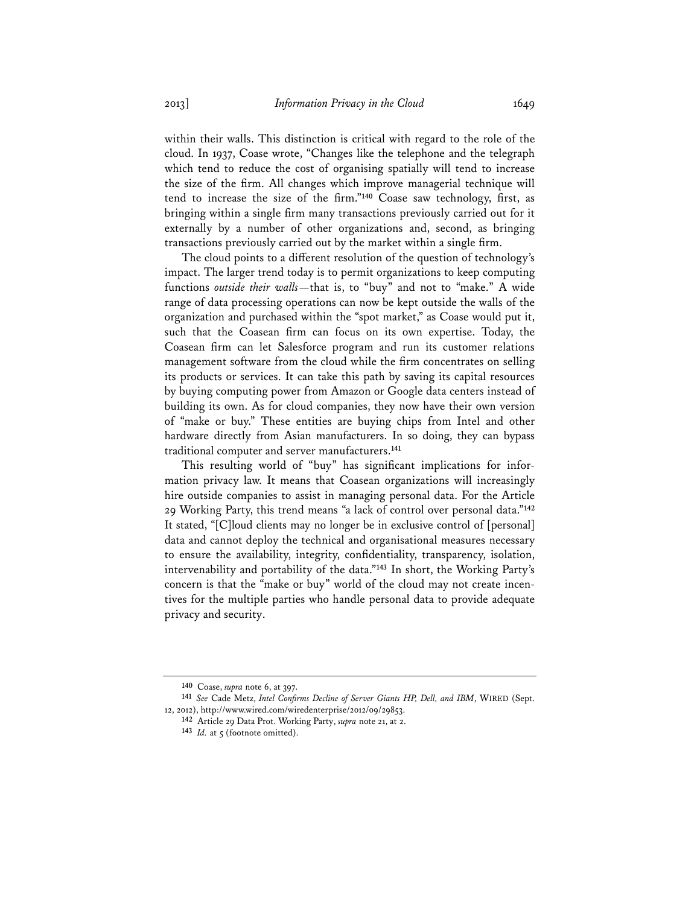within their walls. This distinction is critical with regard to the role of the cloud. In 1937, Coase wrote, "Changes like the telephone and the telegraph which tend to reduce the cost of organising spatially will tend to increase the size of the firm. All changes which improve managerial technique will tend to increase the size of the firm."**<sup>140</sup>** Coase saw technology, first, as bringing within a single firm many transactions previously carried out for it externally by a number of other organizations and, second, as bringing transactions previously carried out by the market within a single firm.

The cloud points to a different resolution of the question of technology's impact. The larger trend today is to permit organizations to keep computing functions *outside their walls*—that is, to "buy" and not to "make." A wide range of data processing operations can now be kept outside the walls of the organization and purchased within the "spot market," as Coase would put it, such that the Coasean firm can focus on its own expertise. Today, the Coasean firm can let Salesforce program and run its customer relations management software from the cloud while the firm concentrates on selling its products or services. It can take this path by saving its capital resources by buying computing power from Amazon or Google data centers instead of building its own. As for cloud companies, they now have their own version of "make or buy." These entities are buying chips from Intel and other hardware directly from Asian manufacturers. In so doing, they can bypass traditional computer and server manufacturers.**<sup>141</sup>**

This resulting world of "buy" has significant implications for information privacy law. It means that Coasean organizations will increasingly hire outside companies to assist in managing personal data. For the Article 29 Working Party, this trend means "a lack of control over personal data."**<sup>142</sup>** It stated, "[C]loud clients may no longer be in exclusive control of [personal] data and cannot deploy the technical and organisational measures necessary to ensure the availability, integrity, confidentiality, transparency, isolation, intervenability and portability of the data."**<sup>143</sup>** In short, the Working Party's concern is that the "make or buy" world of the cloud may not create incentives for the multiple parties who handle personal data to provide adequate privacy and security.

**<sup>140</sup>** Coase, *supra* note 6, at 397.

**<sup>141</sup>** *See* Cade Metz, *Intel Confirms Decline of Server Giants HP, Dell, and IBM*, WIRED (Sept. 12, 2012), http://www.wired.com/wiredenterprise/2012/09/29853.

**<sup>142</sup>** Article 29 Data Prot. Working Party, *supra* note 21, at 2.

<sup>143</sup> *Id.* at 5 (footnote omitted).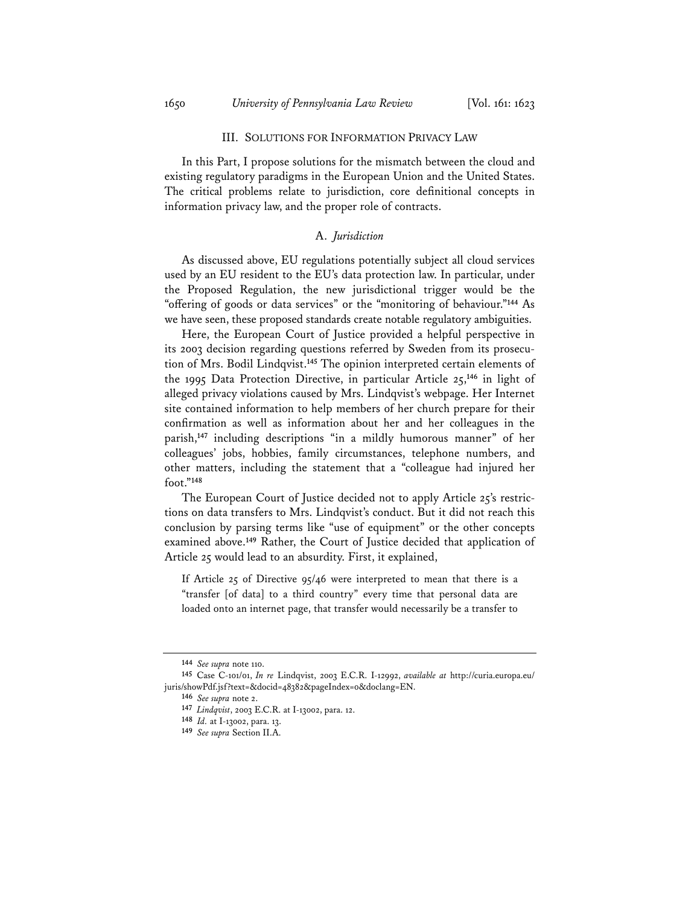#### III. SOLUTIONS FOR INFORMATION PRIVACY LAW

In this Part, I propose solutions for the mismatch between the cloud and existing regulatory paradigms in the European Union and the United States. The critical problems relate to jurisdiction, core definitional concepts in information privacy law, and the proper role of contracts.

# A. *Jurisdiction*

As discussed above, EU regulations potentially subject all cloud services used by an EU resident to the EU's data protection law. In particular, under the Proposed Regulation, the new jurisdictional trigger would be the "offering of goods or data services" or the "monitoring of behaviour."**<sup>144</sup>** As we have seen, these proposed standards create notable regulatory ambiguities.

Here, the European Court of Justice provided a helpful perspective in its 2003 decision regarding questions referred by Sweden from its prosecution of Mrs. Bodil Lindqvist.**<sup>145</sup>** The opinion interpreted certain elements of the 1995 Data Protection Directive, in particular Article 25,**<sup>146</sup>** in light of alleged privacy violations caused by Mrs. Lindqvist's webpage. Her Internet site contained information to help members of her church prepare for their confirmation as well as information about her and her colleagues in the parish,**<sup>147</sup>** including descriptions "in a mildly humorous manner" of her colleagues' jobs, hobbies, family circumstances, telephone numbers, and other matters, including the statement that a "colleague had injured her foot."**<sup>148</sup>**

The European Court of Justice decided not to apply Article 25's restrictions on data transfers to Mrs. Lindqvist's conduct. But it did not reach this conclusion by parsing terms like "use of equipment" or the other concepts examined above.**<sup>149</sup>** Rather, the Court of Justice decided that application of Article 25 would lead to an absurdity. First, it explained,

If Article 25 of Directive 95/46 were interpreted to mean that there is a "transfer [of data] to a third country" every time that personal data are loaded onto an internet page, that transfer would necessarily be a transfer to

**<sup>144</sup>** *See supra* note 110.

**<sup>145</sup>** Case C-101/01, *In re* Lindqvist, 2003 E.C.R. I-12992, *available at* http://curia.europa.eu/ juris/showPdf.jsf?text=&docid=48382&pageIndex=0&doclang=EN.

**<sup>146</sup>** *See supra* note 2.

**<sup>147</sup>** *Lindqvist*, 2003 E.C.R. at I-13002, para. 12.

**<sup>148</sup>** *Id.* at I-13002, para. 13.

**<sup>149</sup>** *See supra* Section II.A.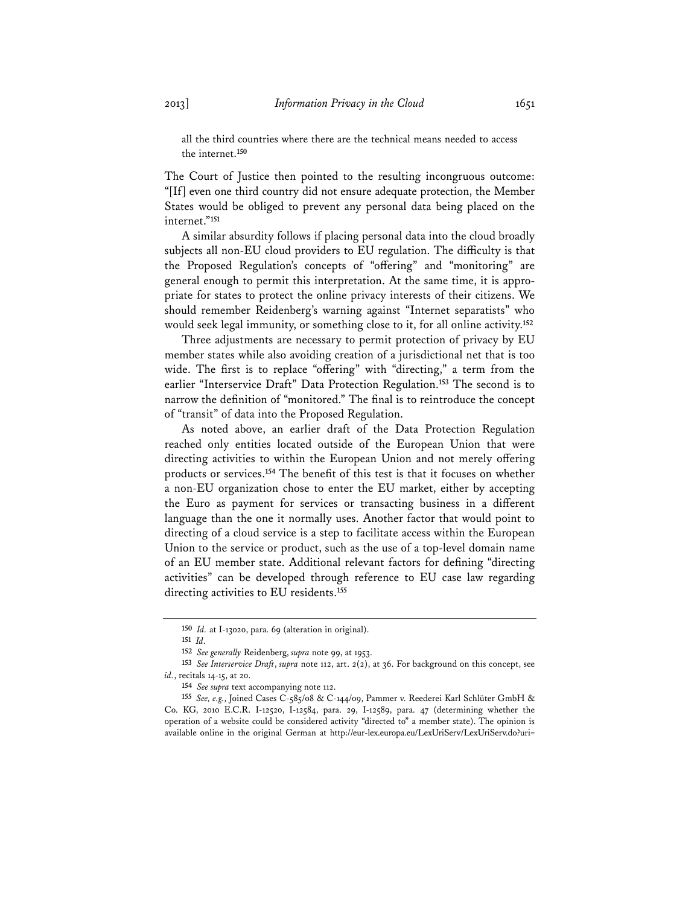all the third countries where there are the technical means needed to access the internet.**<sup>150</sup>**

The Court of Justice then pointed to the resulting incongruous outcome: "[If] even one third country did not ensure adequate protection, the Member States would be obliged to prevent any personal data being placed on the internet."**<sup>151</sup>**

A similar absurdity follows if placing personal data into the cloud broadly subjects all non-EU cloud providers to EU regulation. The difficulty is that the Proposed Regulation's concepts of "offering" and "monitoring" are general enough to permit this interpretation. At the same time, it is appropriate for states to protect the online privacy interests of their citizens. We should remember Reidenberg's warning against "Internet separatists" who would seek legal immunity, or something close to it, for all online activity.**<sup>152</sup>**

Three adjustments are necessary to permit protection of privacy by EU member states while also avoiding creation of a jurisdictional net that is too wide. The first is to replace "offering" with "directing," a term from the earlier "Interservice Draft" Data Protection Regulation.**<sup>153</sup>** The second is to narrow the definition of "monitored." The final is to reintroduce the concept of "transit" of data into the Proposed Regulation.

As noted above, an earlier draft of the Data Protection Regulation reached only entities located outside of the European Union that were directing activities to within the European Union and not merely offering products or services.**<sup>154</sup>** The benefit of this test is that it focuses on whether a non-EU organization chose to enter the EU market, either by accepting the Euro as payment for services or transacting business in a different language than the one it normally uses. Another factor that would point to directing of a cloud service is a step to facilitate access within the European Union to the service or product, such as the use of a top-level domain name of an EU member state. Additional relevant factors for defining "directing activities" can be developed through reference to EU case law regarding directing activities to EU residents.**<sup>155</sup>**

**<sup>150</sup>** *Id.* at I-13020, para. 69 (alteration in original).

**<sup>151</sup>** *Id.*

**<sup>152</sup>** *See generally* Reidenberg, *supra* note 99, at 1953.

**<sup>153</sup>** *See Interservice Draft*, *supra* note 112, art. 2(2), at 36. For background on this concept, see *id.*, recitals 14-15, at 20.

**<sup>154</sup>** *See supra* text accompanying note 112.

**<sup>155</sup>** *See, e.g.*, Joined Cases C-585/08 & C-144/09, Pammer v. Reederei Karl Schlüter GmbH & Co. KG, 2010 E.C.R. I-12520, I-12584, para. 29, I-12589, para. 47 (determining whether the operation of a website could be considered activity "directed to" a member state). The opinion is available online in the original German at http://eur-lex.europa.eu/LexUriServ/LexUriServ.do?uri=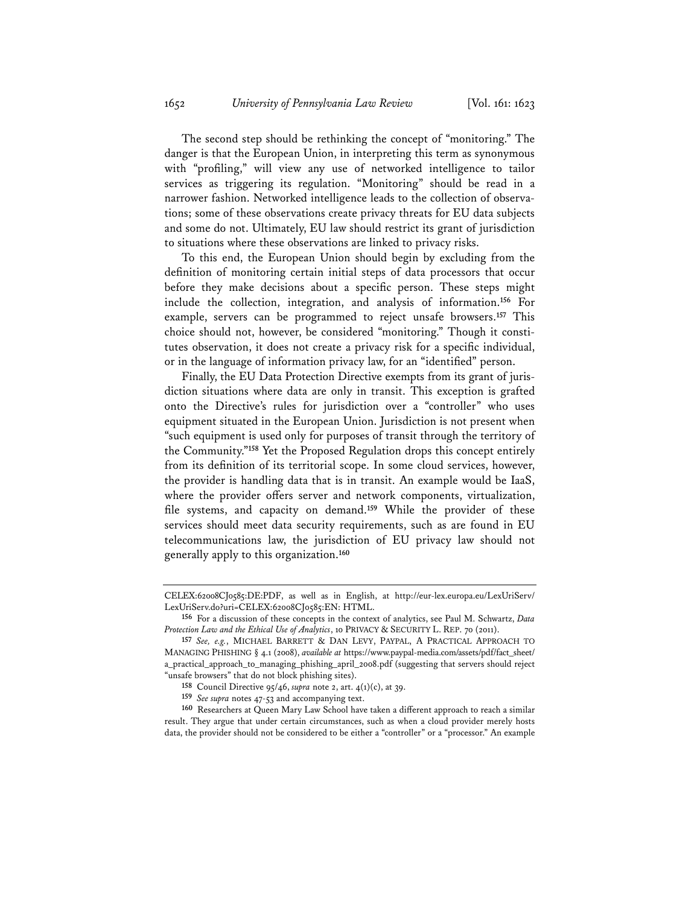The second step should be rethinking the concept of "monitoring." The danger is that the European Union, in interpreting this term as synonymous with "profiling," will view any use of networked intelligence to tailor services as triggering its regulation. "Monitoring" should be read in a narrower fashion. Networked intelligence leads to the collection of observations; some of these observations create privacy threats for EU data subjects and some do not. Ultimately, EU law should restrict its grant of jurisdiction to situations where these observations are linked to privacy risks.

To this end, the European Union should begin by excluding from the definition of monitoring certain initial steps of data processors that occur before they make decisions about a specific person. These steps might include the collection, integration, and analysis of information.**<sup>156</sup>** For example, servers can be programmed to reject unsafe browsers.**<sup>157</sup>** This choice should not, however, be considered "monitoring." Though it constitutes observation, it does not create a privacy risk for a specific individual, or in the language of information privacy law, for an "identified" person.

Finally, the EU Data Protection Directive exempts from its grant of jurisdiction situations where data are only in transit. This exception is grafted onto the Directive's rules for jurisdiction over a "controller" who uses equipment situated in the European Union. Jurisdiction is not present when "such equipment is used only for purposes of transit through the territory of the Community."**<sup>158</sup>** Yet the Proposed Regulation drops this concept entirely from its definition of its territorial scope. In some cloud services, however, the provider is handling data that is in transit. An example would be IaaS, where the provider offers server and network components, virtualization, file systems, and capacity on demand.**<sup>159</sup>** While the provider of these services should meet data security requirements, such as are found in EU telecommunications law, the jurisdiction of EU privacy law should not generally apply to this organization.**<sup>160</sup>**

CELEX:62008CJ0585:DE:PDF, as well as in English, at http://eur-lex.europa.eu/LexUriServ/ LexUriServ.do?uri=CELEX:62008CJ0585:EN: HTML.

**<sup>156</sup>** For a discussion of these concepts in the context of analytics, see Paul M. Schwartz, *Data Protection Law and the Ethical Use of Analytics*, 10 PRIVACY & SECURITY L. REP. 70 (2011).

**<sup>157</sup>** *See, e.g.*, MICHAEL BARRETT & DAN LEVY, PAYPAL, A PRACTICAL APPROACH TO MANAGING PHISHING § 4.1 (2008), *available at* https://www.paypal-media.com/assets/pdf/fact\_sheet/ a\_practical\_approach\_to\_managing\_phishing\_april\_2008.pdf (suggesting that servers should reject "unsafe browsers" that do not block phishing sites).

**<sup>158</sup>** Council Directive 95/46, *supra* note 2, art. 4(1)(c), at 39.

**<sup>159</sup>** *See supra* notes 47-53 and accompanying text.

**<sup>160</sup>** Researchers at Queen Mary Law School have taken a different approach to reach a similar result. They argue that under certain circumstances, such as when a cloud provider merely hosts data, the provider should not be considered to be either a "controller" or a "processor." An example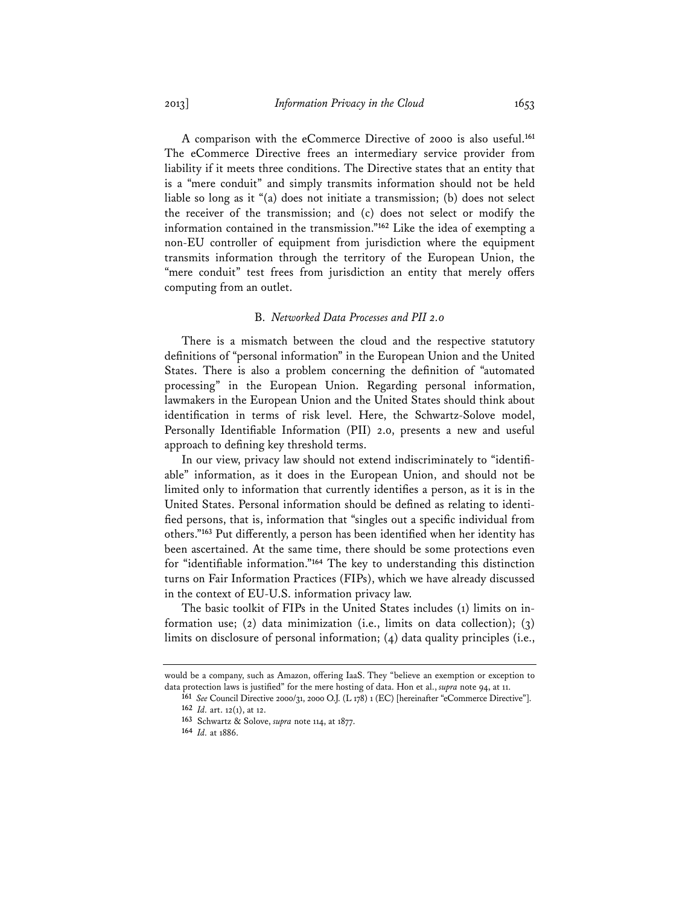A comparison with the eCommerce Directive of 2000 is also useful.**<sup>161</sup>** The eCommerce Directive frees an intermediary service provider from liability if it meets three conditions. The Directive states that an entity that is a "mere conduit" and simply transmits information should not be held liable so long as it "(a) does not initiate a transmission; (b) does not select the receiver of the transmission; and (c) does not select or modify the information contained in the transmission."**<sup>162</sup>** Like the idea of exempting a non-EU controller of equipment from jurisdiction where the equipment transmits information through the territory of the European Union, the "mere conduit" test frees from jurisdiction an entity that merely offers computing from an outlet.

### B. *Networked Data Processes and PII 2.0*

There is a mismatch between the cloud and the respective statutory definitions of "personal information" in the European Union and the United States. There is also a problem concerning the definition of "automated processing" in the European Union. Regarding personal information, lawmakers in the European Union and the United States should think about identification in terms of risk level. Here, the Schwartz-Solove model, Personally Identifiable Information (PII) 2.0, presents a new and useful approach to defining key threshold terms.

In our view, privacy law should not extend indiscriminately to "identifiable" information, as it does in the European Union, and should not be limited only to information that currently identifies a person, as it is in the United States. Personal information should be defined as relating to identified persons, that is, information that "singles out a specific individual from others."**<sup>163</sup>** Put differently, a person has been identified when her identity has been ascertained. At the same time, there should be some protections even for "identifiable information."**<sup>164</sup>** The key to understanding this distinction turns on Fair Information Practices (FIPs), which we have already discussed in the context of EU-U.S. information privacy law.

The basic toolkit of FIPs in the United States includes (1) limits on information use; (2) data minimization (i.e., limits on data collection); (3) limits on disclosure of personal information; (4) data quality principles (i.e.,

would be a company, such as Amazon, offering IaaS. They "believe an exemption or exception to data protection laws is justified" for the mere hosting of data. Hon et al., *supra* note 94, at 11.

**<sup>161</sup>** *See* Council Directive 2000/31, 2000 O.J. (L 178) 1 (EC) [hereinafter "eCommerce Directive"]. **162** *Id.* art. 12(1), at 12.

**<sup>163</sup>** Schwartz & Solove, *supra* note 114, at 1877.

**<sup>164</sup>** *Id.* at 1886.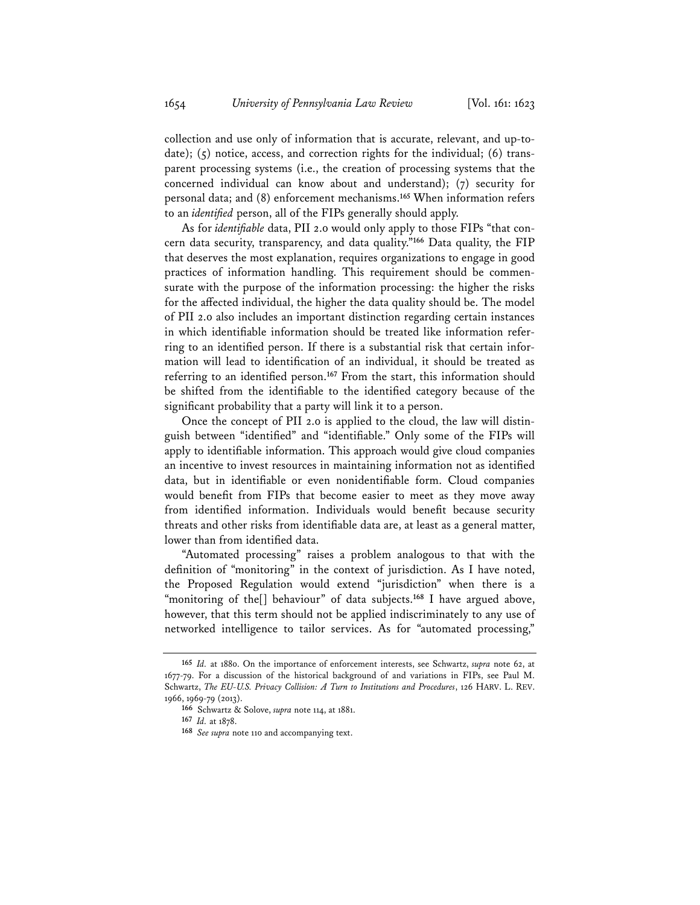collection and use only of information that is accurate, relevant, and up-todate); (5) notice, access, and correction rights for the individual; (6) transparent processing systems (i.e., the creation of processing systems that the concerned individual can know about and understand); (7) security for personal data; and (8) enforcement mechanisms.**<sup>165</sup>** When information refers to an *identified* person, all of the FIPs generally should apply.

As for *identifiable* data, PII 2.0 would only apply to those FIPs "that concern data security, transparency, and data quality."**<sup>166</sup>** Data quality, the FIP that deserves the most explanation, requires organizations to engage in good practices of information handling. This requirement should be commensurate with the purpose of the information processing: the higher the risks for the affected individual, the higher the data quality should be. The model of PII 2.0 also includes an important distinction regarding certain instances in which identifiable information should be treated like information referring to an identified person. If there is a substantial risk that certain information will lead to identification of an individual, it should be treated as referring to an identified person.**<sup>167</sup>** From the start, this information should be shifted from the identifiable to the identified category because of the significant probability that a party will link it to a person.

Once the concept of PII 2.0 is applied to the cloud, the law will distinguish between "identified" and "identifiable." Only some of the FIPs will apply to identifiable information. This approach would give cloud companies an incentive to invest resources in maintaining information not as identified data, but in identifiable or even nonidentifiable form. Cloud companies would benefit from FIPs that become easier to meet as they move away from identified information. Individuals would benefit because security threats and other risks from identifiable data are, at least as a general matter, lower than from identified data.

"Automated processing" raises a problem analogous to that with the definition of "monitoring" in the context of jurisdiction. As I have noted, the Proposed Regulation would extend "jurisdiction" when there is a "monitoring of the[] behaviour" of data subjects.**<sup>168</sup>** I have argued above, however, that this term should not be applied indiscriminately to any use of networked intelligence to tailor services. As for "automated processing,"

**<sup>165</sup>** *Id.* at 1880. On the importance of enforcement interests, see Schwartz, *supra* note 62, at 1677-79. For a discussion of the historical background of and variations in FIPs, see Paul M. Schwartz, *The EU-U.S. Privacy Collision: A Turn to Institutions and Procedures*, 126 HARV. L. REV. 1966, 1969-79 (2013).

**<sup>166</sup>** Schwartz & Solove, *supra* note 114, at 1881.

**<sup>167</sup>** *Id.* at 1878.

**<sup>168</sup>** *See supra* note 110 and accompanying text.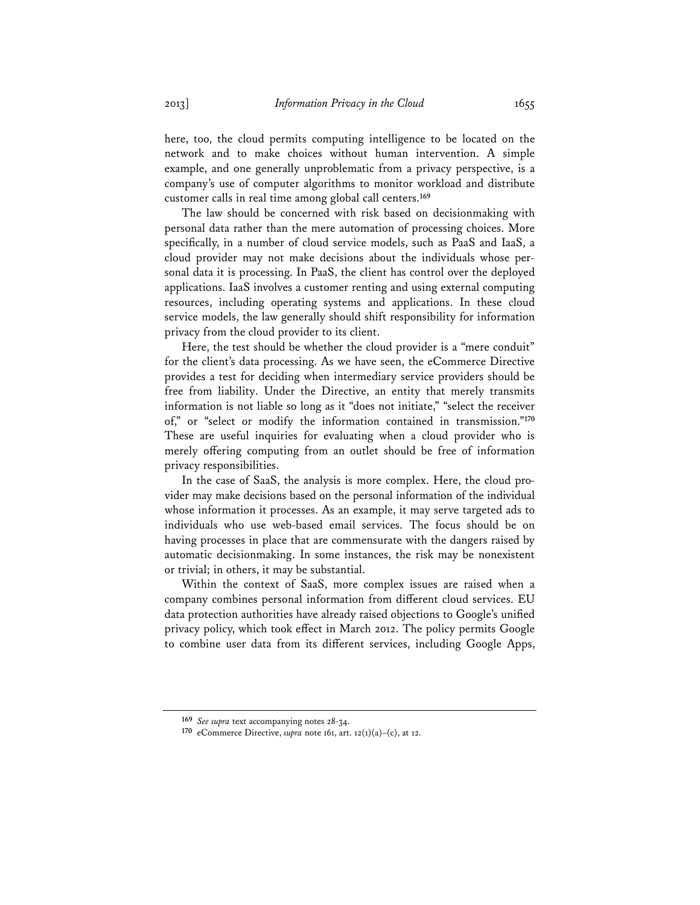here, too, the cloud permits computing intelligence to be located on the network and to make choices without human intervention. A simple example, and one generally unproblematic from a privacy perspective, is a company's use of computer algorithms to monitor workload and distribute customer calls in real time among global call centers.**<sup>169</sup>**

The law should be concerned with risk based on decisionmaking with personal data rather than the mere automation of processing choices. More specifically, in a number of cloud service models, such as PaaS and IaaS, a cloud provider may not make decisions about the individuals whose personal data it is processing. In PaaS, the client has control over the deployed applications. IaaS involves a customer renting and using external computing resources, including operating systems and applications. In these cloud service models, the law generally should shift responsibility for information privacy from the cloud provider to its client.

Here, the test should be whether the cloud provider is a "mere conduit" for the client's data processing. As we have seen, the eCommerce Directive provides a test for deciding when intermediary service providers should be free from liability. Under the Directive, an entity that merely transmits information is not liable so long as it "does not initiate," "select the receiver of," or "select or modify the information contained in transmission."**<sup>170</sup>** These are useful inquiries for evaluating when a cloud provider who is merely offering computing from an outlet should be free of information privacy responsibilities.

In the case of SaaS, the analysis is more complex. Here, the cloud provider may make decisions based on the personal information of the individual whose information it processes. As an example, it may serve targeted ads to individuals who use web-based email services. The focus should be on having processes in place that are commensurate with the dangers raised by automatic decisionmaking. In some instances, the risk may be nonexistent or trivial; in others, it may be substantial.

Within the context of SaaS, more complex issues are raised when a company combines personal information from different cloud services. EU data protection authorities have already raised objections to Google's unified privacy policy, which took effect in March 2012. The policy permits Google to combine user data from its different services, including Google Apps,

**<sup>169</sup>** *See supra* text accompanying notes 28-34.

**<sup>170</sup>** eCommerce Directive, *supra* note 161, art. 12(1)(a)–(c), at 12.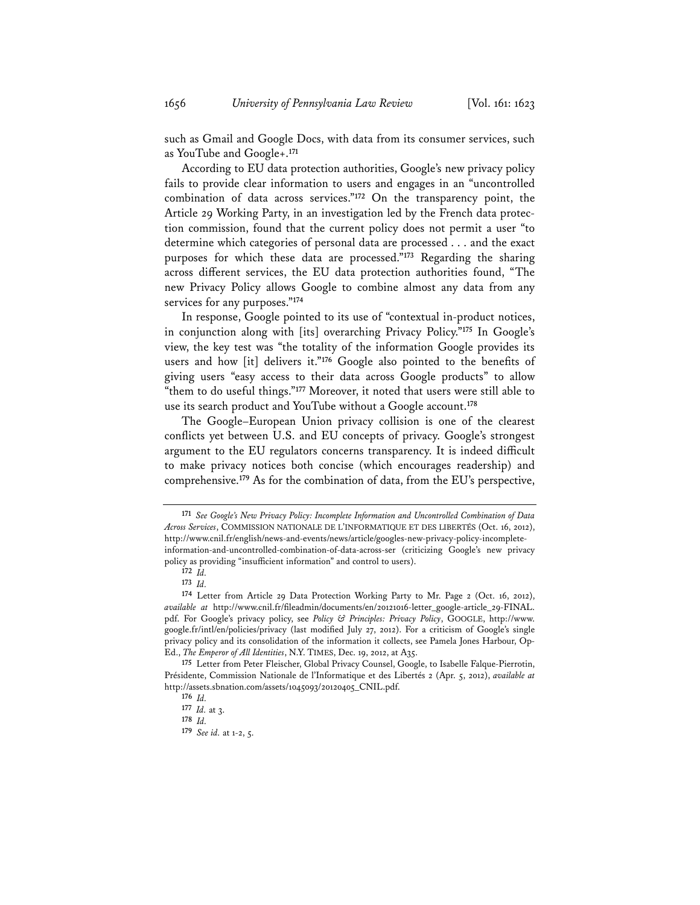such as Gmail and Google Docs, with data from its consumer services, such as YouTube and Google+.**<sup>171</sup>**

According to EU data protection authorities, Google's new privacy policy fails to provide clear information to users and engages in an "uncontrolled combination of data across services."**<sup>172</sup>** On the transparency point, the Article 29 Working Party, in an investigation led by the French data protection commission, found that the current policy does not permit a user "to determine which categories of personal data are processed . . . and the exact purposes for which these data are processed."**<sup>173</sup>** Regarding the sharing across different services, the EU data protection authorities found, "The new Privacy Policy allows Google to combine almost any data from any services for any purposes."**<sup>174</sup>**

In response, Google pointed to its use of "contextual in-product notices, in conjunction along with [its] overarching Privacy Policy."**<sup>175</sup>** In Google's view, the key test was "the totality of the information Google provides its users and how [it] delivers it."**<sup>176</sup>** Google also pointed to the benefits of giving users "easy access to their data across Google products" to allow "them to do useful things."**<sup>177</sup>** Moreover, it noted that users were still able to use its search product and YouTube without a Google account.**<sup>178</sup>**

The Google–European Union privacy collision is one of the clearest conflicts yet between U.S. and EU concepts of privacy. Google's strongest argument to the EU regulators concerns transparency. It is indeed difficult to make privacy notices both concise (which encourages readership) and comprehensive.**<sup>179</sup>** As for the combination of data, from the EU's perspective,

**<sup>171</sup>** *See Google's New Privacy Policy: Incomplete Information and Uncontrolled Combination of Data Across Services*, COMMISSION NATIONALE DE L'INFORMATIQUE ET DES LIBERTÉS (Oct. 16, 2012), http://www.cnil.fr/english/news-and-events/news/article/googles-new-privacy-policy-incompleteinformation-and-uncontrolled-combination-of-data-across-ser (criticizing Google's new privacy policy as providing "insufficient information" and control to users).

**<sup>172</sup>** *Id.* 

**<sup>173</sup>** *Id.*

**<sup>174</sup>** Letter from Article 29 Data Protection Working Party to Mr. Page 2 (Oct. 16, 2012), *available at* http://www.cnil.fr/fileadmin/documents/en/20121016-letter\_google-article\_29-FINAL. pdf. For Google's privacy policy, see *Policy & Principles: Privacy Policy*, GOOGLE, http://www. google.fr/intl/en/policies/privacy (last modified July 27, 2012). For a criticism of Google's single privacy policy and its consolidation of the information it collects, see Pamela Jones Harbour, Op-Ed., *The Emperor of All Identities*, N.Y. TIMES, Dec. 19, 2012, at A35.

**<sup>175</sup>** Letter from Peter Fleischer, Global Privacy Counsel, Google, to Isabelle Falque-Pierrotin, Présidente, Commission Nationale de l'Informatique et des Libertés 2 (Apr. 5, 2012), *available at* http://assets.sbnation.com/assets/1045093/20120405\_CNIL.pdf.

**<sup>176</sup>** *Id.* **177** *Id.* at 3.

**<sup>178</sup>** *Id.* 

**<sup>179</sup>** *See id.* at 1-2, 5.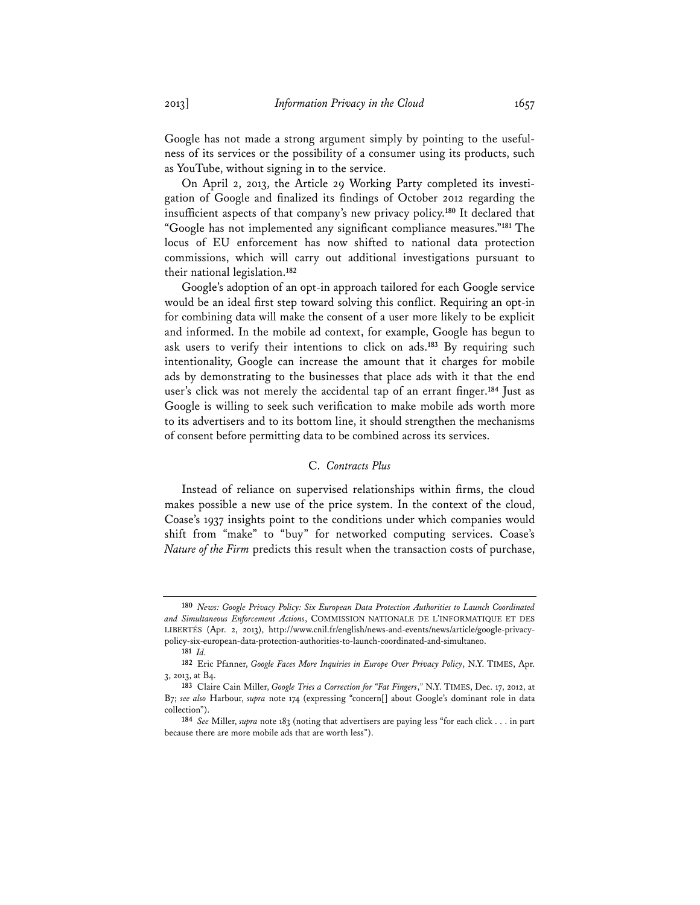Google has not made a strong argument simply by pointing to the usefulness of its services or the possibility of a consumer using its products, such as YouTube, without signing in to the service.

On April 2, 2013, the Article 29 Working Party completed its investigation of Google and finalized its findings of October 2012 regarding the insufficient aspects of that company's new privacy policy.**<sup>180</sup>** It declared that "Google has not implemented any significant compliance measures."**<sup>181</sup>** The locus of EU enforcement has now shifted to national data protection commissions, which will carry out additional investigations pursuant to their national legislation.**<sup>182</sup>**

Google's adoption of an opt-in approach tailored for each Google service would be an ideal first step toward solving this conflict. Requiring an opt-in for combining data will make the consent of a user more likely to be explicit and informed. In the mobile ad context, for example, Google has begun to ask users to verify their intentions to click on ads.**<sup>183</sup>** By requiring such intentionality, Google can increase the amount that it charges for mobile ads by demonstrating to the businesses that place ads with it that the end user's click was not merely the accidental tap of an errant finger.**<sup>184</sup>** Just as Google is willing to seek such verification to make mobile ads worth more to its advertisers and to its bottom line, it should strengthen the mechanisms of consent before permitting data to be combined across its services.

# C. *Contracts Plus*

Instead of reliance on supervised relationships within firms, the cloud makes possible a new use of the price system. In the context of the cloud, Coase's 1937 insights point to the conditions under which companies would shift from "make" to "buy" for networked computing services. Coase's *Nature of the Firm* predicts this result when the transaction costs of purchase,

**<sup>180</sup>** *News: Google Privacy Policy: Six European Data Protection Authorities to Launch Coordinated and Simultaneous Enforcement Actions*, COMMISSION NATIONALE DE L'INFORMATIQUE ET DES LIBERTÉS (Apr. 2, 2013), http://www.cnil.fr/english/news-and-events/news/article/google-privacypolicy-six-european-data-protection-authorities-to-launch-coordinated-and-simultaneo.

**<sup>181</sup>** *Id.*

**<sup>182</sup>** Eric Pfanner, *Google Faces More Inquiries in Europe Over Privacy Policy*, N.Y. TIMES, Apr. 3, 2013, at B4.

**<sup>183</sup>** Claire Cain Miller, *Google Tries a Correction for "Fat Fingers*,*"* N.Y. TIMES, Dec. 17, 2012, at B7; *see also* Harbour, *supra* note 174 (expressing "concern[] about Google's dominant role in data collection").

**<sup>184</sup>** *See* Miller, *supra* note 183 (noting that advertisers are paying less "for each click . . . in part because there are more mobile ads that are worth less").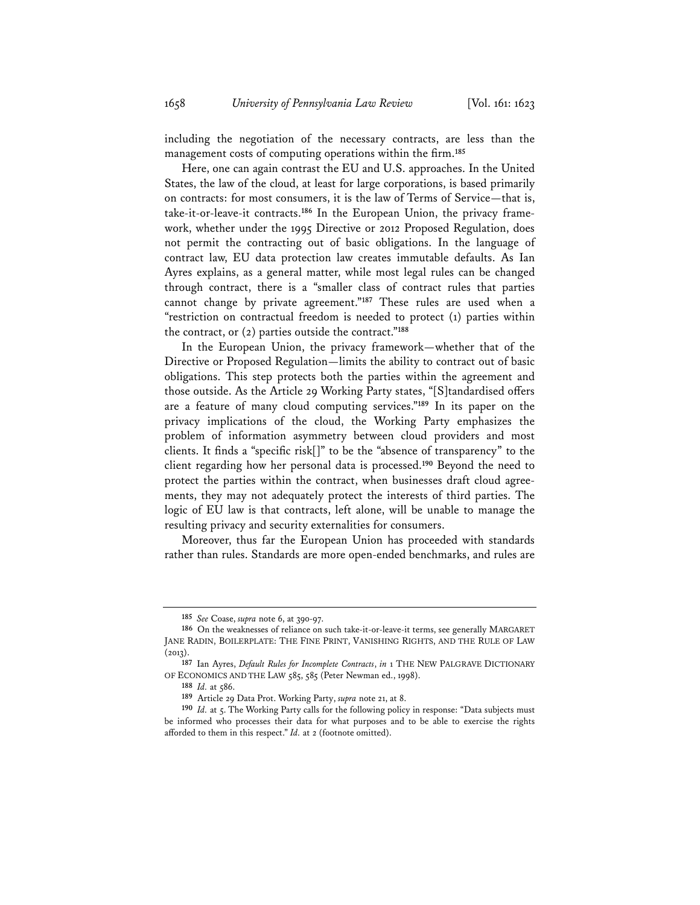including the negotiation of the necessary contracts, are less than the management costs of computing operations within the firm.**<sup>185</sup>**

Here, one can again contrast the EU and U.S. approaches. In the United States, the law of the cloud, at least for large corporations, is based primarily on contracts: for most consumers, it is the law of Terms of Service—that is, take-it-or-leave-it contracts.**186** In the European Union, the privacy framework, whether under the 1995 Directive or 2012 Proposed Regulation, does not permit the contracting out of basic obligations. In the language of contract law, EU data protection law creates immutable defaults. As Ian Ayres explains, as a general matter, while most legal rules can be changed through contract, there is a "smaller class of contract rules that parties cannot change by private agreement."**<sup>187</sup>** These rules are used when a "restriction on contractual freedom is needed to protect (1) parties within the contract, or (2) parties outside the contract."**<sup>188</sup>**

In the European Union, the privacy framework—whether that of the Directive or Proposed Regulation—limits the ability to contract out of basic obligations. This step protects both the parties within the agreement and those outside. As the Article 29 Working Party states, "[S]tandardised offers are a feature of many cloud computing services."**<sup>189</sup>** In its paper on the privacy implications of the cloud, the Working Party emphasizes the problem of information asymmetry between cloud providers and most clients. It finds a "specific risk[]" to be the "absence of transparency" to the client regarding how her personal data is processed.**<sup>190</sup>** Beyond the need to protect the parties within the contract, when businesses draft cloud agreements, they may not adequately protect the interests of third parties. The logic of EU law is that contracts, left alone, will be unable to manage the resulting privacy and security externalities for consumers.

Moreover, thus far the European Union has proceeded with standards rather than rules. Standards are more open-ended benchmarks, and rules are

**<sup>185</sup>** *See* Coase, *supra* note 6, at 390-97.

**<sup>186</sup>** On the weaknesses of reliance on such take-it-or-leave-it terms, see generally MARGARET JANE RADIN, BOILERPLATE: THE FINE PRINT, VANISHING RIGHTS, AND THE RULE OF LAW  $(2013).$ 

**<sup>187</sup>** Ian Ayres, *Default Rules for Incomplete Contracts*, *in* 1 THE NEW PALGRAVE DICTIONARY OF ECONOMICS AND THE LAW 585, 585 (Peter Newman ed., 1998).

**<sup>188</sup>** *Id.* at 586.

**<sup>189</sup>** Article 29 Data Prot. Working Party, *supra* note 21, at 8.

**<sup>190</sup>** *Id.* at 5. The Working Party calls for the following policy in response: "Data subjects must be informed who processes their data for what purposes and to be able to exercise the rights afforded to them in this respect." *Id.* at 2 (footnote omitted).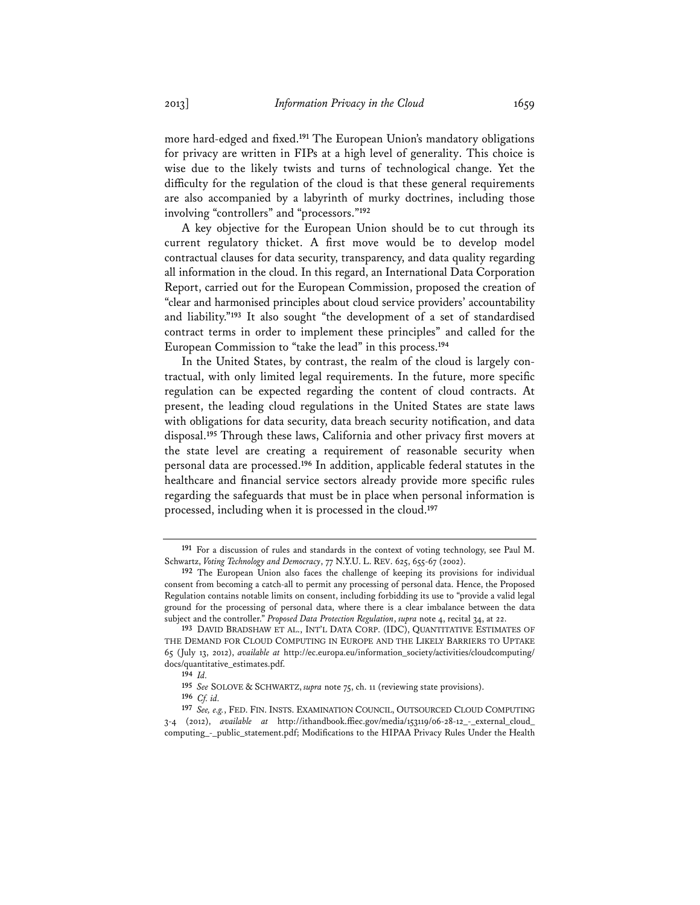more hard-edged and fixed.**<sup>191</sup>** The European Union's mandatory obligations for privacy are written in FIPs at a high level of generality. This choice is wise due to the likely twists and turns of technological change. Yet the difficulty for the regulation of the cloud is that these general requirements are also accompanied by a labyrinth of murky doctrines, including those involving "controllers" and "processors."**<sup>192</sup>**

A key objective for the European Union should be to cut through its current regulatory thicket. A first move would be to develop model contractual clauses for data security, transparency, and data quality regarding all information in the cloud. In this regard, an International Data Corporation Report, carried out for the European Commission, proposed the creation of "clear and harmonised principles about cloud service providers' accountability and liability."**<sup>193</sup>** It also sought "the development of a set of standardised contract terms in order to implement these principles" and called for the European Commission to "take the lead" in this process.**<sup>194</sup>**

In the United States, by contrast, the realm of the cloud is largely contractual, with only limited legal requirements. In the future, more specific regulation can be expected regarding the content of cloud contracts. At present, the leading cloud regulations in the United States are state laws with obligations for data security, data breach security notification, and data disposal.**<sup>195</sup>** Through these laws, California and other privacy first movers at the state level are creating a requirement of reasonable security when personal data are processed.**<sup>196</sup>** In addition, applicable federal statutes in the healthcare and financial service sectors already provide more specific rules regarding the safeguards that must be in place when personal information is processed, including when it is processed in the cloud.**<sup>197</sup>**

**<sup>191</sup>** For a discussion of rules and standards in the context of voting technology, see Paul M. Schwartz, *Voting Technology and Democracy*, 77 N.Y.U. L. REV. 625, 655-67 (2002).

**<sup>192</sup>** The European Union also faces the challenge of keeping its provisions for individual consent from becoming a catch-all to permit any processing of personal data. Hence, the Proposed Regulation contains notable limits on consent, including forbidding its use to "provide a valid legal ground for the processing of personal data, where there is a clear imbalance between the data subject and the controller." *Proposed Data Protection Regulation*, *supra* note 4, recital 34, at 22.

**<sup>193</sup>** DAVID BRADSHAW ET AL., INT'L DATA CORP. (IDC), QUANTITATIVE ESTIMATES OF THE DEMAND FOR CLOUD COMPUTING IN EUROPE AND THE LIKELY BARRIERS TO UPTAKE 65 (July 13, 2012), *available at* http://ec.europa.eu/information\_society/activities/cloudcomputing/ docs/quantitative\_estimates.pdf.

**<sup>194</sup>** *Id.*

**<sup>195</sup>** *See* SOLOVE & SCHWARTZ, *supra* note 75, ch. 11 (reviewing state provisions).

**<sup>196</sup>** *Cf. id.*

**<sup>197</sup>** *See, e.g.*, FED. FIN. INSTS. EXAMINATION COUNCIL, OUTSOURCED CLOUD COMPUTING 3-4 (2012), *available at* http://ithandbook.ffiec.gov/media/153119/06-28-12\_-\_external\_cloud\_ computing\_-\_public\_statement.pdf; Modifications to the HIPAA Privacy Rules Under the Health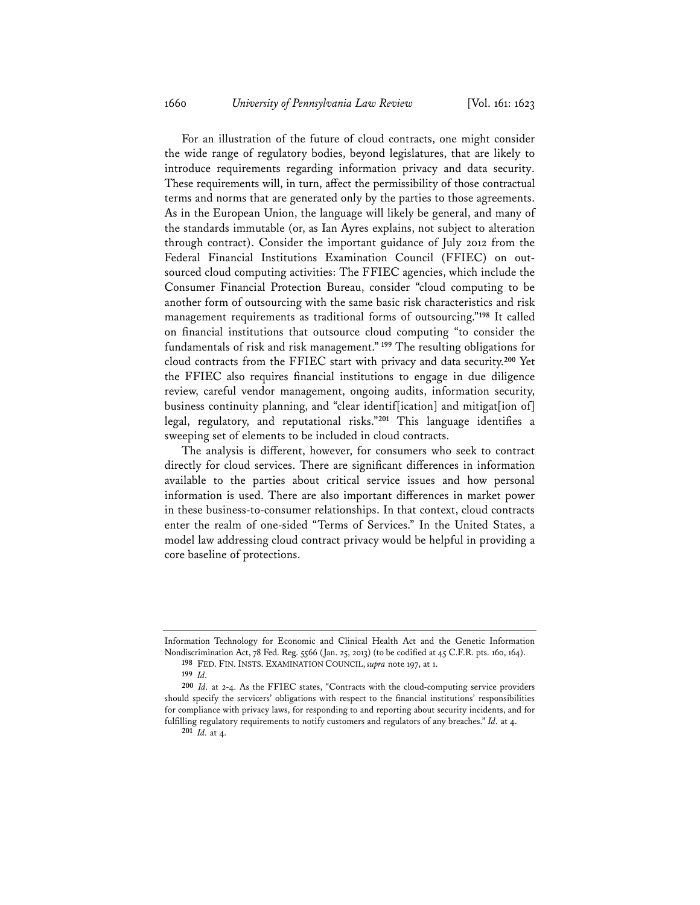For an illustration of the future of cloud contracts, one might consider the wide range of regulatory bodies, beyond legislatures, that are likely to introduce requirements regarding information privacy and data security. These requirements will, in turn, affect the permissibility of those contractual terms and norms that are generated only by the parties to those agreements. As in the European Union, the language will likely be general, and many of the standards immutable (or, as Ian Ayres explains, not subject to alteration through contract). Consider the important guidance of July 2012 from the Federal Financial Institutions Examination Council (FFIEC) on outsourced cloud computing activities: The FFIEC agencies, which include the Consumer Financial Protection Bureau, consider "cloud computing to be another form of outsourcing with the same basic risk characteristics and risk management requirements as traditional forms of outsourcing."**<sup>198</sup>** It called on financial institutions that outsource cloud computing "to consider the fundamentals of risk and risk management."**<sup>199</sup>** The resulting obligations for cloud contracts from the FFIEC start with privacy and data security.**<sup>200</sup>** Yet the FFIEC also requires financial institutions to engage in due diligence review, careful vendor management, ongoing audits, information security, business continuity planning, and "clear identif[ication] and mitigat[ion of] legal, regulatory, and reputational risks."**<sup>201</sup>** This language identifies a sweeping set of elements to be included in cloud contracts.

The analysis is different, however, for consumers who seek to contract directly for cloud services. There are significant differences in information available to the parties about critical service issues and how personal information is used. There are also important differences in market power in these business-to-consumer relationships. In that context, cloud contracts enter the realm of one-sided "Terms of Services." In the United States, a model law addressing cloud contract privacy would be helpful in providing a core baseline of protections.

Information Technology for Economic and Clinical Health Act and the Genetic Information Nondiscrimination Act, 78 Fed. Reg. 5566 (Jan. 25, 2013) (to be codified at 45 C.F.R. pts. 160, 164). **198** FED. FIN. INSTS. EXAMINATION COUNCIL, *supra* note 197, at 1.

**<sup>199</sup>** *Id.*

**<sup>200</sup>** *Id.* at 2-4. As the FFIEC states, "Contracts with the cloud-computing service providers should specify the servicers' obligations with respect to the financial institutions' responsibilities for compliance with privacy laws, for responding to and reporting about security incidents, and for fulfilling regulatory requirements to notify customers and regulators of any breaches." *Id.* at 4.

**<sup>201</sup>** *Id.* at 4.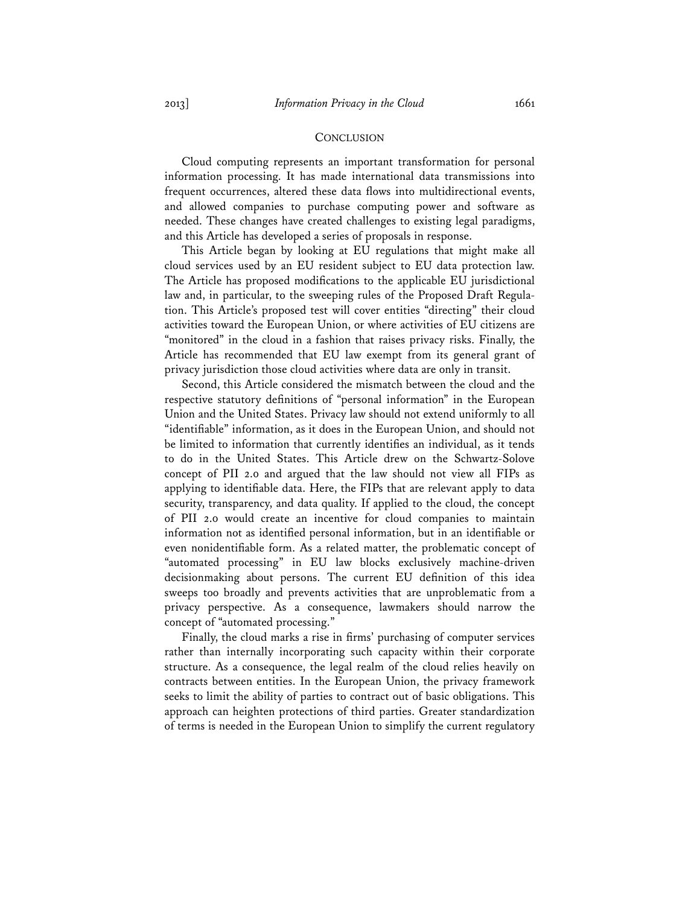#### **CONCLUSION**

Cloud computing represents an important transformation for personal information processing. It has made international data transmissions into frequent occurrences, altered these data flows into multidirectional events, and allowed companies to purchase computing power and software as needed. These changes have created challenges to existing legal paradigms, and this Article has developed a series of proposals in response.

This Article began by looking at EU regulations that might make all cloud services used by an EU resident subject to EU data protection law. The Article has proposed modifications to the applicable EU jurisdictional law and, in particular, to the sweeping rules of the Proposed Draft Regulation. This Article's proposed test will cover entities "directing" their cloud activities toward the European Union, or where activities of EU citizens are "monitored" in the cloud in a fashion that raises privacy risks. Finally, the Article has recommended that EU law exempt from its general grant of privacy jurisdiction those cloud activities where data are only in transit.

Second, this Article considered the mismatch between the cloud and the respective statutory definitions of "personal information" in the European Union and the United States. Privacy law should not extend uniformly to all "identifiable" information, as it does in the European Union, and should not be limited to information that currently identifies an individual, as it tends to do in the United States. This Article drew on the Schwartz-Solove concept of PII 2.0 and argued that the law should not view all FIPs as applying to identifiable data. Here, the FIPs that are relevant apply to data security, transparency, and data quality. If applied to the cloud, the concept of PII 2.0 would create an incentive for cloud companies to maintain information not as identified personal information, but in an identifiable or even nonidentifiable form. As a related matter, the problematic concept of "automated processing" in EU law blocks exclusively machine-driven decisionmaking about persons. The current EU definition of this idea sweeps too broadly and prevents activities that are unproblematic from a privacy perspective. As a consequence, lawmakers should narrow the concept of "automated processing."

Finally, the cloud marks a rise in firms' purchasing of computer services rather than internally incorporating such capacity within their corporate structure. As a consequence, the legal realm of the cloud relies heavily on contracts between entities. In the European Union, the privacy framework seeks to limit the ability of parties to contract out of basic obligations. This approach can heighten protections of third parties. Greater standardization of terms is needed in the European Union to simplify the current regulatory